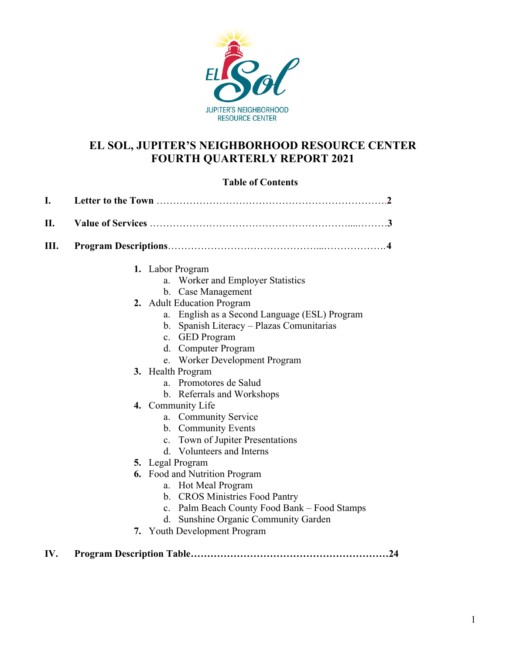

## **EL SOL, JUPITER'S NEIGHBORHOOD RESOURCE CENTER FOURTH QUARTERLY REPORT 2021**

## **Table of Contents**

| I.   |  |                                                |  |  |  |  |  |  |  |  |
|------|--|------------------------------------------------|--|--|--|--|--|--|--|--|
| II.  |  |                                                |  |  |  |  |  |  |  |  |
| III. |  |                                                |  |  |  |  |  |  |  |  |
|      |  | 1. Labor Program                               |  |  |  |  |  |  |  |  |
|      |  | a. Worker and Employer Statistics              |  |  |  |  |  |  |  |  |
|      |  | b. Case Management                             |  |  |  |  |  |  |  |  |
|      |  | 2. Adult Education Program                     |  |  |  |  |  |  |  |  |
|      |  | a. English as a Second Language (ESL) Program  |  |  |  |  |  |  |  |  |
|      |  | b. Spanish Literacy – Plazas Comunitarias      |  |  |  |  |  |  |  |  |
|      |  | c. GED Program                                 |  |  |  |  |  |  |  |  |
|      |  | d. Computer Program                            |  |  |  |  |  |  |  |  |
|      |  | e. Worker Development Program                  |  |  |  |  |  |  |  |  |
|      |  | 3. Health Program                              |  |  |  |  |  |  |  |  |
|      |  | a. Promotores de Salud                         |  |  |  |  |  |  |  |  |
|      |  | b. Referrals and Workshops                     |  |  |  |  |  |  |  |  |
|      |  | 4. Community Life                              |  |  |  |  |  |  |  |  |
|      |  | a. Community Service                           |  |  |  |  |  |  |  |  |
|      |  | b. Community Events                            |  |  |  |  |  |  |  |  |
|      |  | c. Town of Jupiter Presentations               |  |  |  |  |  |  |  |  |
|      |  | d. Volunteers and Interns                      |  |  |  |  |  |  |  |  |
|      |  | 5. Legal Program                               |  |  |  |  |  |  |  |  |
|      |  | <b>6.</b> Food and Nutrition Program           |  |  |  |  |  |  |  |  |
|      |  | a. Hot Meal Program                            |  |  |  |  |  |  |  |  |
|      |  | b. CROS Ministries Food Pantry                 |  |  |  |  |  |  |  |  |
|      |  | c. Palm Beach County Food Bank – Food Stamps   |  |  |  |  |  |  |  |  |
|      |  | <b>Sunshine Organic Community Garden</b><br>d. |  |  |  |  |  |  |  |  |
|      |  | 7. Youth Development Program                   |  |  |  |  |  |  |  |  |

**IV. Program Description Table……………………………………………………24**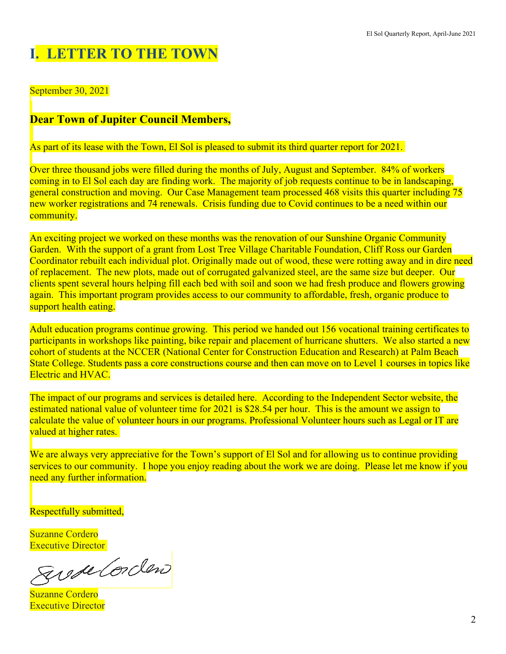# **I. LETTER TO THE TOWN**

September 30, 2021

# **Dear Town of Jupiter Council Members,**

As part of its lease with the Town, El Sol is pleased to submit its third quarter report for 2021.

Over three thousand jobs were filled during the months of July, August and September. 84% of workers coming in to El Sol each day are finding work. The majority of job requests continue to be in landscaping, general construction and moving. Our Case Management team processed 468 visits this quarter including 75 new worker registrations and 74 renewals. Crisis funding due to Covid continues to be a need within our community.

An exciting project we worked on these months was the renovation of our Sunshine Organic Community Garden. With the support of a grant from Lost Tree Village Charitable Foundation, Cliff Ross our Garden Coordinator rebuilt each individual plot. Originally made out of wood, these were rotting away and in dire need of replacement. The new plots, made out of corrugated galvanized steel, are the same size but deeper. Our clients spent several hours helping fill each bed with soil and soon we had fresh produce and flowers growing again. This important program provides access to our community to affordable, fresh, organic produce to support health eating.

Adult education programs continue growing. This period we handed out 156 vocational training certificates to participants in workshops like painting, bike repair and placement of hurricane shutters. We also started a new cohort of students at the NCCER (National Center for Construction Education and Research) at Palm Beach State College. Students pass a core constructions course and then can move on to Level 1 courses in topics like Electric and HVAC.

The impact of our programs and services is detailed here. According to the Independent Sector website, the estimated national value of volunteer time for 2021 is \$28.54 per hour. This is the amount we assign to calculate the value of volunteer hours in our programs. Professional Volunteer hours such as Legal or IT are valued at higher rates.

We are always very appreciative for the Town's support of El Sol and for allowing us to continue providing services to our community. I hope you enjoy reading about the work we are doing. Please let me know if you need any further information.

Respectfully submitted,

Suzanne Cordero Executive Director

gusse Corden

Suzanne Cordero Executive Director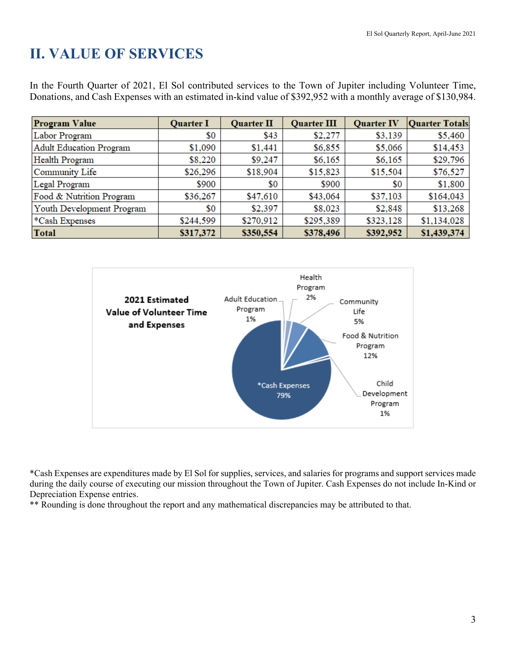# **II. VALUE OF SERVICES**

In the Fourth Quarter of 2021, El Sol contributed services to the Town of Jupiter including Volunteer Time, Donations, and Cash Expenses with an estimated in-kind value of \$392,952 with a monthly average of \$130,984.

| <b>Program Value</b>       | <b>Quarter I</b> | <b>Quarter II</b> | <b>Quarter III</b> | <b>Quarter IV</b> | <b>Quarter Totals</b> |
|----------------------------|------------------|-------------------|--------------------|-------------------|-----------------------|
| Labor Program              | \$0              | \$43              | \$2,277            | \$3,139           | \$5,460               |
| Adult Education Program    | \$1,090          | \$1,441           | \$6,855            | \$5,066           | \$14,453              |
| Health Program             | \$8,220          | \$9,247           | \$6,165            | \$6,165           | \$29,796              |
| Community Life             | \$26,296         | \$18,904          | \$15,823           | \$15,504          | \$76,527              |
| Legal Program              | \$900            | \$0               | \$900              | \$0               | \$1,800               |
| Food & Nutrition Program   | \$36,267         | \$47,610          | \$43,064           | \$37,103          | \$164,043             |
| Youth Development Program  | \$0              | \$2,397           | \$8,023            | \$2,848           | \$13,268              |
| <sup>*</sup> Cash Expenses | \$244,599        | \$270,912         | \$295,389          | \$323,128         | \$1,134,028           |
| <b>Total</b>               | \$317,372        | \$350,554         | \$378,496          | \$392,952         | \$1,439,374           |



\*Cash Expenses are expenditures made by El Sol for supplies, services, and salaries for programs and support services made during the daily course of executing our mission throughout the Town of Jupiter. Cash Expenses do not include In-Kind or Depreciation Expense entries.

\*\* Rounding is done throughout the report and any mathematical discrepancies may be attributed to that.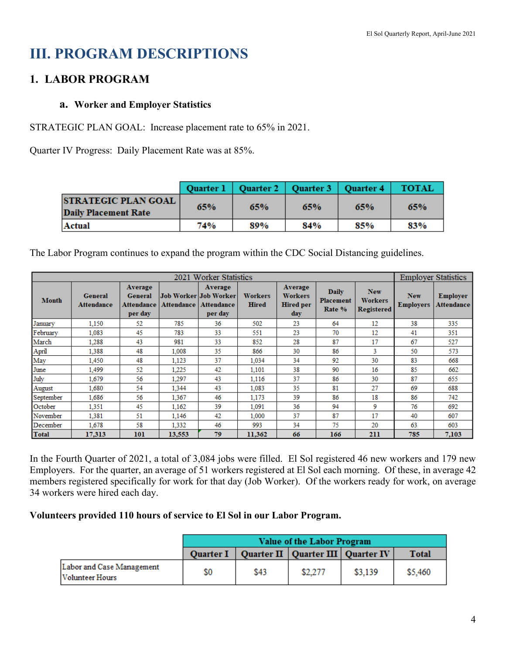# **III. PROGRAM DESCRIPTIONS**

# **1. LABOR PROGRAM**

## **a. Worker and Employer Statistics**

STRATEGIC PLAN GOAL: Increase placement rate to 65% in 2021.

Quarter IV Progress: Daily Placement Rate was at 85%.

|                                                           |     | Quarter 1   Quarter 2   Quarter 3   Quarter 4 |     |     | <b>TOTAL</b> |
|-----------------------------------------------------------|-----|-----------------------------------------------|-----|-----|--------------|
| <b>STRATEGIC PLAN GOAL</b><br><b>Daily Placement Rate</b> | 65% | 65%                                           | 65% | 65% | 65%          |
| Actual                                                    | 74% | 89%                                           | 84% | 85% | 83%          |

The Labor Program continues to expand the program within the CDC Social Distancing guidelines.

|              |                              |                                                    |            | 2021 Worker Statistics                                    |                         |                                                      |                                            |                                                   | <b>Employer Statistics</b>     |                               |
|--------------|------------------------------|----------------------------------------------------|------------|-----------------------------------------------------------|-------------------------|------------------------------------------------------|--------------------------------------------|---------------------------------------------------|--------------------------------|-------------------------------|
| <b>Month</b> | <b>General</b><br>Attendance | Average<br><b>General</b><br>Attendance<br>per day | Attendance | Average<br>Job Worker Job Worker<br>Attendance<br>per day | Workers<br><b>Hired</b> | Average<br><b>Workers</b><br><b>Hired per</b><br>day | <b>Daily</b><br><b>Placement</b><br>Rate % | <b>New</b><br><b>Workers</b><br><b>Registered</b> | <b>New</b><br><b>Employers</b> | <b>Employer</b><br>Attendance |
| January      | 1,150                        | 52                                                 | 785        | 36                                                        | 502                     | 23                                                   | 64                                         | 12                                                | 38                             | 335                           |
| February     | 1,083                        | 45                                                 | 783        | 33                                                        | 551                     | 23                                                   | 70                                         | 12                                                | 41                             | 351                           |
| March        | 1.288                        | 43                                                 | 981        | 33                                                        | 852                     | 28                                                   | 87                                         | 17                                                | 67                             | 527                           |
| April        | 1.388                        | 48                                                 | 1.008      | 35                                                        | 866                     | 30                                                   | 86                                         | 3                                                 | 50                             | 573                           |
| May          | 1,450                        | 48                                                 | 1.123      | 37                                                        | 1.034                   | 34                                                   | 92                                         | 30                                                | 83                             | 668                           |
| June         | 1,499                        | 52                                                 | 1.225      | 42                                                        | 1,101                   | 38                                                   | 90                                         | 16                                                | 85                             | 662                           |
| July         | 1,679                        | 56                                                 | 1.297      | 43                                                        | 1,116                   | 37                                                   | 86                                         | 30                                                | 87                             | 655                           |
| August       | 1,680                        | 54                                                 | 1,344      | 43                                                        | 1,083                   | 35                                                   | 81                                         | 27                                                | 69                             | 688                           |
| September    | 1.686                        | 56                                                 | 1.367      | 46                                                        | 1,173                   | 39                                                   | 86                                         | 18                                                | 86                             | 742                           |
| October      | 1.351                        | 45                                                 | 1.162      | 39                                                        | 1.091                   | 36                                                   | 94                                         | 9                                                 | 76                             | 692                           |
| November     | 1.381                        | 51                                                 | 1,146      | 42                                                        | 1,000                   | 37                                                   | 87                                         | 17                                                | 40                             | 607                           |
| December     | 1,678                        | 58                                                 | 1,332      | 46                                                        | 993                     | 34                                                   | 75                                         | 20                                                | 63                             | 603                           |
| <b>Total</b> | 17,313                       | 101                                                | 13,553     | 79                                                        | 11,362                  | 66                                                   | 166                                        | 211                                               | 785                            | 7,103                         |

In the Fourth Quarter of 2021, a total of 3,084 jobs were filled. El Sol registered 46 new workers and 179 new Employers. For the quarter, an average of 51 workers registered at El Sol each morning. Of these, in average 42 members registered specifically for work for that day (Job Worker). Of the workers ready for work, on average 34 workers were hired each day.

## **Volunteers provided 110 hours of service to El Sol in our Labor Program.**

|                                                     | Value of the Labor Program |      |                                       |         |              |  |  |  |
|-----------------------------------------------------|----------------------------|------|---------------------------------------|---------|--------------|--|--|--|
|                                                     | <b>Quarter I</b>           |      | Quarter II   Quarter III   Quarter IV |         | <b>Total</b> |  |  |  |
| Labor and Case Management<br><b>Volunteer Hours</b> | \$0                        | \$43 | \$2,277                               | \$3,139 | \$5,460      |  |  |  |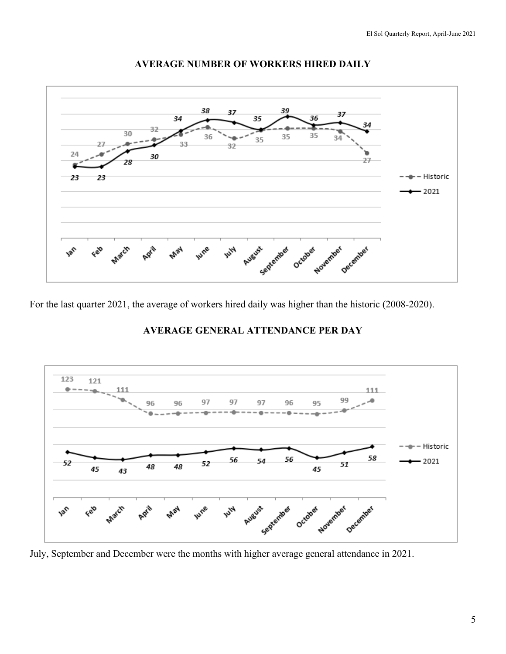

#### **AVERAGE NUMBER OF WORKERS HIRED DAILY**

For the last quarter 2021, the average of workers hired daily was higher than the historic (2008-2020).

## **AVERAGE GENERAL ATTENDANCE PER DAY**



July, September and December were the months with higher average general attendance in 2021.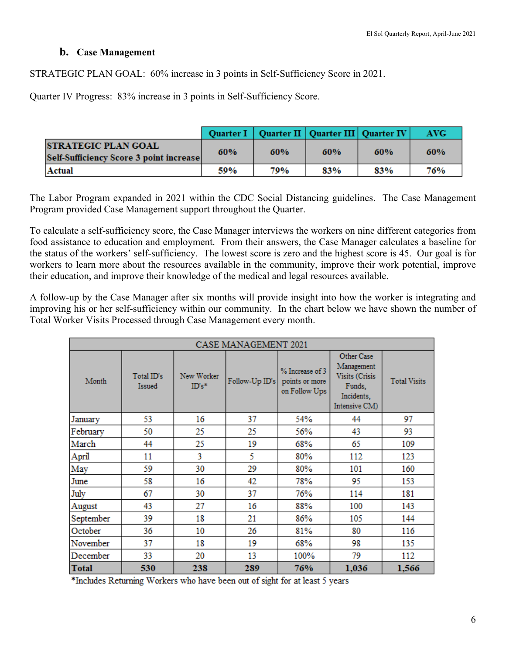#### **b. Case Management**

STRATEGIC PLAN GOAL: 60% increase in 3 points in Self-Sufficiency Score in 2021.

Quarter IV Progress: 83% increase in 3 points in Self-Sufficiency Score.

|                                                                        |     |     | Quarter I   Quarter II   Quarter III   Quarter IV |     | AVG- |
|------------------------------------------------------------------------|-----|-----|---------------------------------------------------|-----|------|
| <b>ISTRATEGIC PLAN GOAL</b><br>Self-Sufficiency Score 3 point increase | 60% | 60% | 60%                                               | 60% | 60%  |
| Actual                                                                 | 59% | 79% | 83%                                               | 83% | 76%  |

The Labor Program expanded in 2021 within the CDC Social Distancing guidelines. The Case Management Program provided Case Management support throughout the Quarter.

To calculate a self-sufficiency score, the Case Manager interviews the workers on nine different categories from food assistance to education and employment. From their answers, the Case Manager calculates a baseline for the status of the workers' self-sufficiency. The lowest score is zero and the highest score is 45. Our goal is for workers to learn more about the resources available in the community, improve their work potential, improve their education, and improve their knowledge of the medical and legal resources available.

A follow-up by the Case Manager after six months will provide insight into how the worker is integrating and improving his or her self-sufficiency within our community. In the chart below we have shown the number of Total Worker Visits Processed through Case Management every month.

| <b>CASE MANAGEMENT 2021</b> |                      |                        |                |                                                    |                                                                                     |                     |  |  |  |  |  |  |
|-----------------------------|----------------------|------------------------|----------------|----------------------------------------------------|-------------------------------------------------------------------------------------|---------------------|--|--|--|--|--|--|
| Month                       | Total ID's<br>Issued | New Worker<br>$ID's^*$ | Follow-Up ID's | % Increase of 3<br>points or more<br>on Follow Ups | Other Case<br>Management<br>Visits (Crisis<br>Funds.<br>Incidents,<br>Intensive CM) | <b>Total Visits</b> |  |  |  |  |  |  |
| January                     | 53                   | 16                     | 37             | 54%                                                | 44                                                                                  | 97                  |  |  |  |  |  |  |
| February                    | 50                   | 25                     | 25             | 56%                                                | 43                                                                                  | 93                  |  |  |  |  |  |  |
| March                       | 44                   | 25                     | 19             | 68%                                                | 65                                                                                  | 109                 |  |  |  |  |  |  |
| April                       | 11                   | 3                      | 5              | 80%                                                | 112                                                                                 | 123                 |  |  |  |  |  |  |
| May                         | 59                   | 30                     | 29             | 80%                                                | 101                                                                                 | 160                 |  |  |  |  |  |  |
| June                        | 58                   | 16                     | 42             | 78%                                                | 95                                                                                  | 153                 |  |  |  |  |  |  |
| July                        | 67                   | 30                     | 37             | 76%                                                | 114                                                                                 | 181                 |  |  |  |  |  |  |
| August                      | 43                   | 27                     | 16             | 88%                                                | 100                                                                                 | 143                 |  |  |  |  |  |  |
| September                   | 39                   | 18                     | 21             | 86%                                                | 105                                                                                 | 144                 |  |  |  |  |  |  |
| October                     | 36                   | 10                     | 26             | 81%                                                | 80                                                                                  | 116                 |  |  |  |  |  |  |
| November                    | 37                   | 18                     | 19             | 68%                                                | 98                                                                                  | 135                 |  |  |  |  |  |  |
| December                    | 33                   | 20                     | 13             | 100%                                               | 79                                                                                  | 112                 |  |  |  |  |  |  |
| Total                       | 530                  | 238                    | 289            | 76%                                                | 1,036                                                                               | 1,566               |  |  |  |  |  |  |

\*Includes Returning Workers who have been out of sight for at least 5 years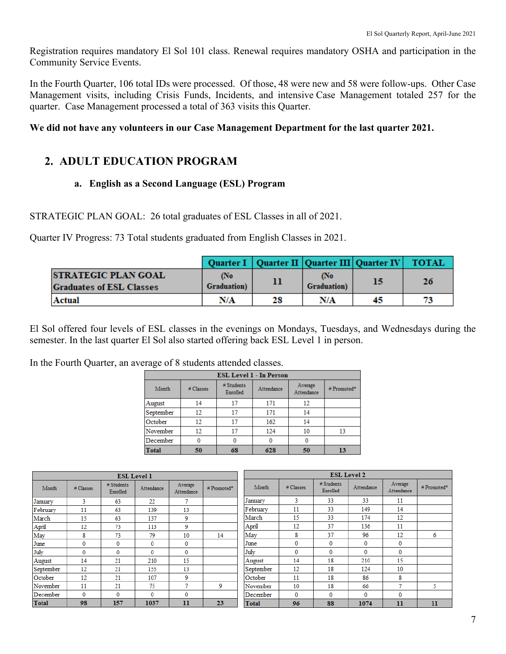Registration requires mandatory El Sol 101 class. Renewal requires mandatory OSHA and participation in the Community Service Events.

In the Fourth Quarter, 106 total IDs were processed. Of those, 48 were new and 58 were follow-ups. Other Case Management visits, including Crisis Funds, Incidents, and intensive Case Management totaled 257 for the quarter. Case Management processed a total of 363 visits this Quarter.

#### **We did not have any volunteers in our Case Management Department for the last quarter 2021.**

## **2. ADULT EDUCATION PROGRAM**

## **a. English as a Second Language (ESL) Program**

STRATEGIC PLAN GOAL: 26 total graduates of ESL Classes in all of 2021.

Quarter IV Progress: 73 Total students graduated from English Classes in 2021.

|                                                                |                            |    | Quarter I   Quarter II   Quarter III   Quarter IV   TOTAL |    |    |
|----------------------------------------------------------------|----------------------------|----|-----------------------------------------------------------|----|----|
| <b>ISTRATEGIC PLAN GOAL</b><br><b>Graduates of ESL Classes</b> | (No<br><b>Graduation</b> ) |    | No<br><b>Graduation</b> )                                 | 15 | 26 |
| Actual                                                         | N/A                        | 28 | N/A                                                       | 45 | 73 |

El Sol offered four levels of ESL classes in the evenings on Mondays, Tuesdays, and Wednesdays during the semester. In the last quarter El Sol also started offering back ESL Level 1 in person.

In the Fourth Quarter, an average of 8 students attended classes.

|                    | <b>ESL Level 1 - In Person</b> |                                      |     |                       |            |  |  |  |  |  |  |  |  |
|--------------------|--------------------------------|--------------------------------------|-----|-----------------------|------------|--|--|--|--|--|--|--|--|
| Month<br># Classes |                                | # Students<br>Attendance<br>Enrolled |     | Average<br>Attendance | #Promoted* |  |  |  |  |  |  |  |  |
| August             | 14                             | 17                                   | 171 | 12                    |            |  |  |  |  |  |  |  |  |
| September          | 12                             | 17                                   | 171 | 14                    |            |  |  |  |  |  |  |  |  |
| October            | 12                             | 17                                   | 162 | 14                    |            |  |  |  |  |  |  |  |  |
| November           | 12                             | 17                                   | 124 | 10                    | 13         |  |  |  |  |  |  |  |  |
| December           | 0                              |                                      |     | 0                     |            |  |  |  |  |  |  |  |  |
| Total              | 50                             | 68                                   | 628 | 50                    | 13         |  |  |  |  |  |  |  |  |

|              |              |                        | <b>ESL Level 1</b> |                       | <b>ESL Level 2</b> |              |              |                        |              |                       |               |
|--------------|--------------|------------------------|--------------------|-----------------------|--------------------|--------------|--------------|------------------------|--------------|-----------------------|---------------|
| Month        | # Classes    | # Students<br>Enrolled | Attendance         | Average<br>Attendance | #Promoted*         | Month        | # Classes    | # Students<br>Enrolled | Attendance   | Average<br>Attendance | #Promoted*    |
| January      | 3            | 63                     | 22                 | σ                     |                    | January      | 3            | 33                     | 33           | 11                    |               |
| February     | 11           | 63                     | 139                | 13                    |                    | February     | 11           | 33                     | 149          | 14                    |               |
| March        | 15           | 63                     | 137                | 9                     |                    | March        | 15           | 33                     | 174          | 12                    |               |
| April        | 12           | 73                     | 113                | 9                     |                    | April        | 12           | 37                     | 136          | 11                    |               |
| May          | 8            | 73                     | 79                 | 10                    | 14                 | May          | 8            | 37                     | 96           | 12                    | 6             |
| June         | $\bf{0}$     | $\mathbf{0}$           | 0                  | $\mathbf{0}$          |                    | June         | $\bf{0}$     | 0                      | 0            | $\bf{0}$              |               |
| July         | $\mathbf{0}$ | $\mathbf{0}$           | $\mathbf{0}$       | 0                     |                    | July         | $\mathbf{0}$ | $\bf{0}$               | $\bf{0}$     | $\bf{0}$              |               |
| August       | 14           | 21                     | 210                | 15                    |                    | August       | 14           | 18                     | 210          | 15                    |               |
| September    | 12           | 21                     | 155                | 13                    |                    | September    | 12           | 18                     | 124          | 10                    |               |
| October      | 12           | 21                     | 107                | 9                     |                    | October      | 11           | 18                     | 86           | 8                     |               |
| November     | 11           | 21                     | 75                 | σ                     | 9                  | November     | 10           | 18                     | 66           | 7                     | 5.            |
| December     | $\mathbf{0}$ | $\mathbf{0}$           | $\mathbf{0}$       | $\mathbf{0}$          |                    | December     | $\mathbf{0}$ | $\mathbf{0}$           | $\mathbf{0}$ | 0                     |               |
| <b>Total</b> | 98           | 157                    | 1037               | $\mathbf{11}$         | 23                 | <b>Total</b> | 96           | 88                     | 1074         | 11                    | $\mathbf{11}$ |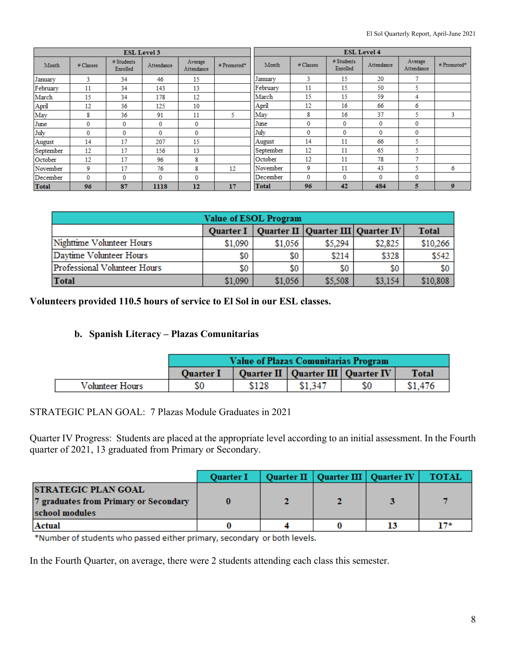|              |           |                        | <b>ESL Level 3</b> |                       |            |              |           | <b>ESL Level 4</b>     |              |                       |                |
|--------------|-----------|------------------------|--------------------|-----------------------|------------|--------------|-----------|------------------------|--------------|-----------------------|----------------|
| Month        | # Classes | # Students<br>Enrolled | Attendance         | Average<br>Attendance | #Promoted* | Month        | # Classes | # Students<br>Enrolled | Attendance   | Average<br>Attendance | #Promoted*     |
| January      | 3         | 34                     | 46                 | 15                    |            | January      | 3         | 15                     | 20           | o                     |                |
| February     | 11        | 34                     | 143                | 13                    |            | February     | 11        | 15                     | 50           | 5                     |                |
| March        | 15        | 34                     | 178                | 12                    |            | March        | 15        | 15                     | 59           | 4                     |                |
| April        | 12        | 36                     | 125                | 10                    |            | April        | 12        | 16                     | 66           | 6                     |                |
| May          | 8         | 36                     | 91                 | 11                    | 5.         | May          | 8         | 16                     | 37           | 5                     | 3              |
| June         | 0         | $\bf{0}$               | 0                  | $\bf{0}$              |            | June         | 0         | $\mathbf{0}$           | 0            | 0                     |                |
| July         | $\bf{0}$  | 0                      | $\mathbf{0}$       | 0                     |            | July         | 0         | 0                      | 0            | 0                     |                |
| August       | 14        | 17                     | 207                | 15                    |            | August       | 14        | 11                     | 66           | 5                     |                |
| September    | 12        | 17                     | 156                | 13                    |            | September    | 12        | 11                     | 65           | 5                     |                |
| October      | 12        | 17                     | 96                 | 8                     |            | October      | 12        | 11                     | 78           | o                     |                |
| November     | 9         | 17                     | 76                 | 8                     | 12         | November     | 9         | 11                     | 43           | 5                     | 6              |
| December     | $\bf{0}$  | 0                      | 0                  | 0                     |            | December     | $\bf{0}$  | 0                      | $\mathbf{0}$ | 0                     |                |
| <b>Total</b> | 96        | 87                     | 1118               | 12                    | 17         | <b>Total</b> | 96        | 42                     | 484          | 5                     | 9 <sup>°</sup> |

|                                                                   | <b>Value of ESOL Program</b> |         |         |         |          |  |  |  |  |  |  |  |
|-------------------------------------------------------------------|------------------------------|---------|---------|---------|----------|--|--|--|--|--|--|--|
| Quarter I   Quarter II   Quarter III   Quarter IV<br><b>Total</b> |                              |         |         |         |          |  |  |  |  |  |  |  |
| Nighttime Volunteer Hours                                         | \$1,090                      | \$1,056 | \$5.294 | \$2,825 | \$10,266 |  |  |  |  |  |  |  |
| Daytime Volunteer Hours                                           | \$0                          | \$0     | \$214   | \$328   | \$542    |  |  |  |  |  |  |  |
| Professional Volunteer Hours                                      | \$0                          | \$0     | \$0     | \$0     | \$0      |  |  |  |  |  |  |  |
| Total                                                             | \$1,090                      | \$1,056 | \$5,508 | \$3.154 | \$10,808 |  |  |  |  |  |  |  |

**Volunteers provided 110.5 hours of service to El Sol in our ESL classes.** 

#### **b. Spanish Literacy – Plazas Comunitarias**

|                 | <b>Value of Plazas Comunitarias Program</b> |       |                                       |    |              |  |
|-----------------|---------------------------------------------|-------|---------------------------------------|----|--------------|--|
|                 | <b>Ouarter I</b>                            |       | Quarter II   Quarter III   Quarter IV |    | <b>Total</b> |  |
| Volunteer Hours | SO.                                         | \$128 | \$1,347                               | S0 | \$1,476      |  |

#### STRATEGIC PLAN GOAL: 7 Plazas Module Graduates in 2021

Quarter IV Progress: Students are placed at the appropriate level according to an initial assessment. In the Fourth quarter of 2021, 13 graduated from Primary or Secondary.

|                                                                                       | <b>Quarter I</b> | Quarter II   Quarter III   Quarter IV | <b>TOTAL</b> |
|---------------------------------------------------------------------------------------|------------------|---------------------------------------|--------------|
| <b>STRATEGIC PLAN GOAL</b><br>7 graduates from Primary or Secondary<br>school modules |                  |                                       |              |
| Actual                                                                                |                  |                                       | 17*          |

\*Number of students who passed either primary, secondary or both levels.

In the Fourth Quarter, on average, there were 2 students attending each class this semester.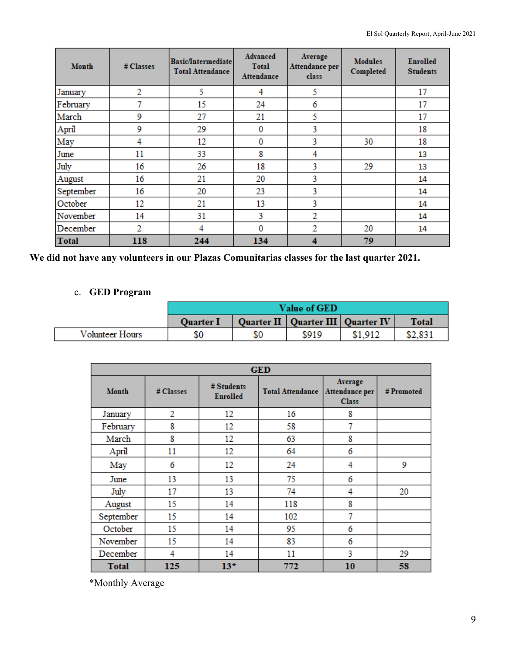| Month        | # Classes      | <b>Basic/Intermediate</b><br><b>Total Attendance</b> | Advanced<br><b>Total</b><br><b>Attendance</b> | Average<br>Attendance per<br>class | <b>Modules</b><br>Completed | <b>Enrolled</b><br><b>Students</b> |
|--------------|----------------|------------------------------------------------------|-----------------------------------------------|------------------------------------|-----------------------------|------------------------------------|
| January      | $\overline{2}$ | 5                                                    | 4                                             | 5                                  |                             | 17                                 |
| February     | 7              | 15                                                   | 24                                            | 6                                  |                             | 17                                 |
| March        | 9              | 27                                                   | 21                                            | 5                                  |                             | 17                                 |
| April        | 9              | 29                                                   | 0                                             | 3                                  |                             | 18                                 |
| May          | 4              | 12                                                   | $\bf{0}$                                      | 3                                  | 30                          | 18                                 |
| June         | 11             | 33                                                   | 8                                             | 4                                  |                             | 13                                 |
| July         | 16             | 26                                                   | 18                                            | 3                                  | 29                          | 13                                 |
| August       | 16             | 21                                                   | 20                                            | 3                                  |                             | 14                                 |
| September    | 16             | 20                                                   | 23                                            | 3                                  |                             | 14                                 |
| October      | 12             | 21                                                   | 13                                            | 3                                  |                             | 14                                 |
| November     | 14             | 31                                                   | 3                                             | $\overline{2}$                     |                             | 14                                 |
| December     | $\overline{2}$ | 4                                                    | 0                                             | 2                                  | 20                          | 14                                 |
| <b>Total</b> | 118            | 244                                                  | 134                                           | 4                                  | 79                          |                                    |

**We did not have any volunteers in our Plazas Comunitarias classes for the last quarter 2021.** 

## c. **GED Program**

|                 | <b>Value of GED</b> |  |                                       |         |              |  |
|-----------------|---------------------|--|---------------------------------------|---------|--------------|--|
|                 | <b>Ouarter I</b>    |  | Quarter II   Quarter III   Quarter IV |         | <b>Total</b> |  |
| Volunteer Hours | SO                  |  | \$919                                 | \$1,912 | \$2,831      |  |

| <b>GED</b>   |           |                               |                         |                                           |            |  |  |  |
|--------------|-----------|-------------------------------|-------------------------|-------------------------------------------|------------|--|--|--|
| <b>Month</b> | # Classes | # Students<br><b>Enrolled</b> | <b>Total Attendance</b> | Average<br>Attendance per<br><b>Class</b> | # Promoted |  |  |  |
| January      | 2         | 12                            | 16                      | 8                                         |            |  |  |  |
| February     | 8         | 12                            | 58                      | 7                                         |            |  |  |  |
| March        | 8         | 12                            | 63                      | 8                                         |            |  |  |  |
| April        | 11        | 12                            | 64                      | 6                                         |            |  |  |  |
| May          | 6         | 12                            | 24                      | 4                                         | 9          |  |  |  |
| June         | 13        | 13                            | 75                      | 6                                         |            |  |  |  |
| July         | 17        | 13                            | 74                      | 4                                         | 20         |  |  |  |
| August       | 15        | 14                            | 118                     | 8                                         |            |  |  |  |
| September    | 15        | 14                            | 102                     | 7                                         |            |  |  |  |
| October      | 15        | 14                            | 95                      | 6                                         |            |  |  |  |
| November     | 15        | 14                            | 83                      | 6                                         |            |  |  |  |
| December     | 4         | 14                            | 11                      | 3                                         | 29         |  |  |  |
| <b>Total</b> | 125       | $13*$                         | 772                     | 10                                        | 58         |  |  |  |

\*Monthly Average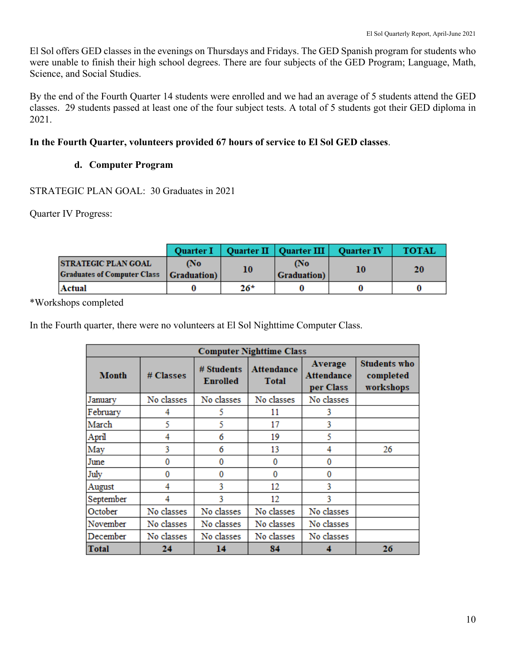El Sol offers GED classes in the evenings on Thursdays and Fridays. The GED Spanish program for students who were unable to finish their high school degrees. There are four subjects of the GED Program; Language, Math, Science, and Social Studies.

By the end of the Fourth Quarter 14 students were enrolled and we had an average of 5 students attend the GED classes. 29 students passed at least one of the four subject tests. A total of 5 students got their GED diploma in 2021.

## **In the Fourth Quarter, volunteers provided 67 hours of service to El Sol GED classes**.

## **d. Computer Program**

STRATEGIC PLAN GOAL: 30 Graduates in 2021

Quarter IV Progress:

|                                                                  |                           |       | Quarter I   Quarter II   Quarter III   Quarter IV |    | <b>TOTAL</b> |
|------------------------------------------------------------------|---------------------------|-------|---------------------------------------------------|----|--------------|
| <b>STRATEGIC PLAN GOAL</b><br><b>Graduates of Computer Class</b> | Mo<br><b>Graduation</b> ) | 10    | <b>No</b><br><b>Graduation</b> )                  | 10 | 20           |
| Actual                                                           |                           | $26*$ |                                                   |    |              |

\*Workshops completed

In the Fourth quarter, there were no volunteers at El Sol Nighttime Computer Class.

| <b>Computer Nighttime Class</b> |            |                                                                    |            |                                           |                                               |  |  |  |  |
|---------------------------------|------------|--------------------------------------------------------------------|------------|-------------------------------------------|-----------------------------------------------|--|--|--|--|
| <b>Month</b>                    | # Classes  | # Students<br><b>Attendance</b><br><b>Enrolled</b><br><b>Total</b> |            | Average<br><b>Attendance</b><br>per Class | <b>Students who</b><br>completed<br>workshops |  |  |  |  |
| January                         | No classes | No classes                                                         | No classes | No classes                                |                                               |  |  |  |  |
| February                        | 4          | 5                                                                  | 11         | 3                                         |                                               |  |  |  |  |
| March                           | 5          | 5                                                                  | 17         | 3                                         |                                               |  |  |  |  |
| April                           | 4          | 6                                                                  | 19         | 5                                         |                                               |  |  |  |  |
| May                             | 3          | 6                                                                  | 13         | 4                                         | 26                                            |  |  |  |  |
| June                            | 0          | 0                                                                  | 0          | 0                                         |                                               |  |  |  |  |
| July                            | 0          | 0                                                                  | 0          | 0                                         |                                               |  |  |  |  |
| August                          | 4          | 3                                                                  | 12         | 3                                         |                                               |  |  |  |  |
| September                       | 4          | 3                                                                  | 12         | 3                                         |                                               |  |  |  |  |
| October                         | No classes | No classes                                                         | No classes | No classes                                |                                               |  |  |  |  |
| November                        | No classes | No classes                                                         | No classes | No classes                                |                                               |  |  |  |  |
| December                        | No classes | No classes                                                         | No classes | No classes                                |                                               |  |  |  |  |
| Total                           | 24         | 14                                                                 | 84         |                                           | 26                                            |  |  |  |  |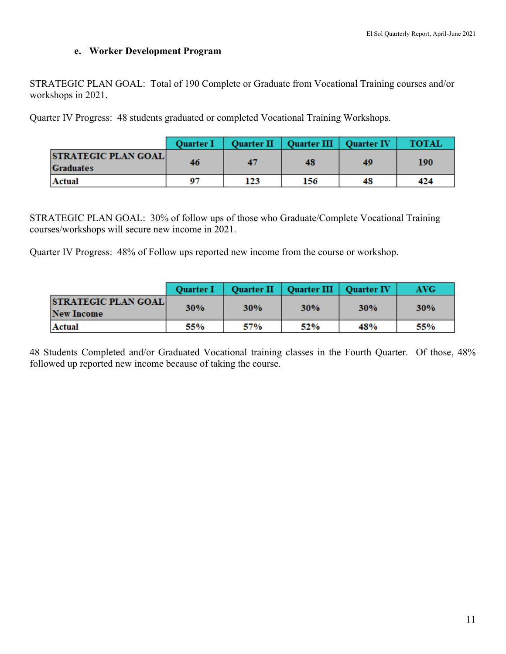## **e. Worker Development Program**

STRATEGIC PLAN GOAL: Total of 190 Complete or Graduate from Vocational Training courses and/or workshops in 2021.

Quarter IV Progress: 48 students graduated or completed Vocational Training Workshops.

|                                                | <b>Ouarter I</b> |     | Quarter II   Quarter III   Quarter IV |    | <b>TOTAL</b> |
|------------------------------------------------|------------------|-----|---------------------------------------|----|--------------|
| <b>STRATEGIC PLAN GOAL</b><br><b>Graduates</b> | 46               | 47  | 48                                    | 49 | 190          |
| Actual                                         | 07               | 123 | 156                                   | 48 | 424          |

STRATEGIC PLAN GOAL: 30% of follow ups of those who Graduate/Complete Vocational Training courses/workshops will secure new income in 2021.

Quarter IV Progress: 48% of Follow ups reported new income from the course or workshop.

|                                                 | <b>Ouarter I</b> |     | Quarter II   Quarter III   Quarter IV |            | AVG-       |
|-------------------------------------------------|------------------|-----|---------------------------------------|------------|------------|
| <b>STRATEGIC PLAN GOAL</b><br><b>New Income</b> | <b>30%</b>       | 30% | 30%                                   | <b>30%</b> | <b>30%</b> |
| <b>Actual</b>                                   | 55%              | 57% | 52%                                   | 48%        | 55%        |

48 Students Completed and/or Graduated Vocational training classes in the Fourth Quarter. Of those, 48% followed up reported new income because of taking the course.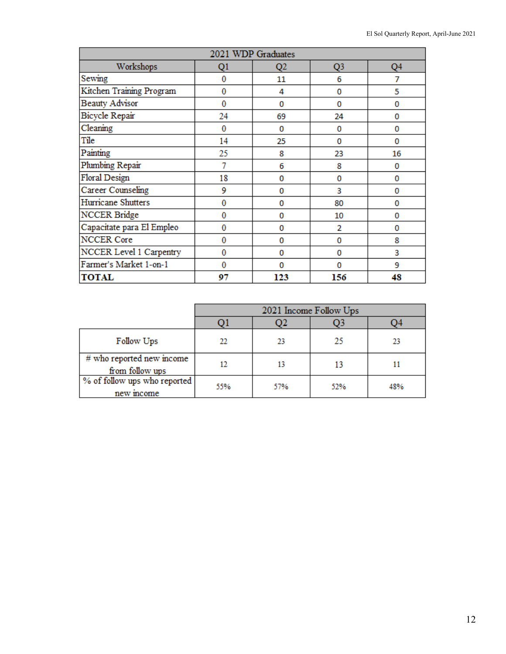| 2021 WDP Graduates        |    |     |     |                |  |  |  |  |
|---------------------------|----|-----|-----|----------------|--|--|--|--|
| Workshops                 | Q1 | Q2  | Q3  | Q <sub>4</sub> |  |  |  |  |
| Sewing                    | 0  | 11  | 6   | 7              |  |  |  |  |
| Kitchen Training Program  | 0  | 4   | 0   | 5              |  |  |  |  |
| <b>Beauty Advisor</b>     | 0  | 0   | 0   | 0              |  |  |  |  |
| Bicycle Repair            | 24 | 69  | 24  | 0              |  |  |  |  |
| Cleaning                  | 0  | 0   | 0   | 0              |  |  |  |  |
| Tile                      | 14 | 25  | 0   | 0              |  |  |  |  |
| Painting                  | 25 | 8   | 23  | 16             |  |  |  |  |
| Plumbing Repair           |    | 6   | 8   | 0              |  |  |  |  |
| Floral Design             | 18 | 0   | 0   | 0              |  |  |  |  |
| Career Counseling         | 9  | 0   | 3   | 0              |  |  |  |  |
| Hurricane Shutters        | 0  | 0   | 80  | 0              |  |  |  |  |
| NCCER Bridge              | 0  | 0   | 10  | 0              |  |  |  |  |
| Capacitate para El Empleo | 0  | 0   | 2   | 0              |  |  |  |  |
| NCCER Core                | 0  | 0   | 0   | 8              |  |  |  |  |
| NCCER Level 1 Carpentry   | 0  | 0   | 0   | 3              |  |  |  |  |
| Farmer's Market 1-on-1    | 0  | o   | o   | 9              |  |  |  |  |
| <b>TOTAL</b>              | 97 | 123 | 156 | 48             |  |  |  |  |

|                                              | 2021 Income Follow Ups |     |     |     |  |  |
|----------------------------------------------|------------------------|-----|-----|-----|--|--|
|                                              |                        |     | Q3  | O4  |  |  |
| Follow Ups                                   | 22                     | 23  | 25  | 23  |  |  |
| # who reported new income<br>from follow ups |                        | 13  | 13  | 11  |  |  |
| % of follow ups who reported<br>new mcome    | 55%                    | 57% | 52% | 48% |  |  |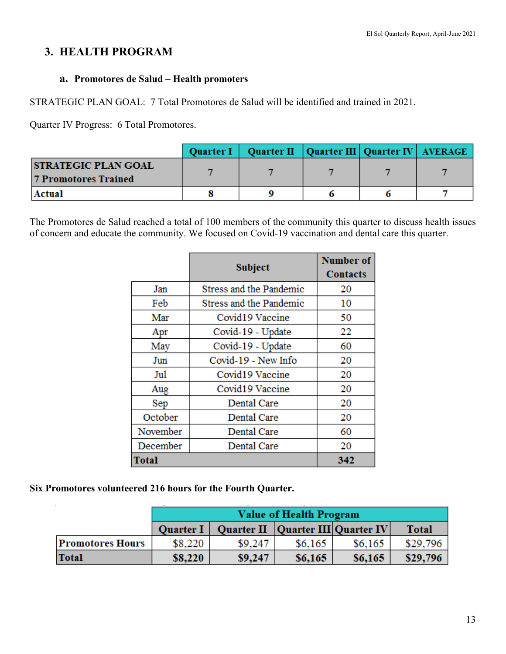# **3. HEALTH PROGRAM**

## **a. Promotores de Salud – Health promoters**

STRATEGIC PLAN GOAL: 7 Total Promotores de Salud will be identified and trained in 2021.

Quarter IV Progress: 6 Total Promotores.

|                                                           | Quarter I   Quarter II   Quarter III   Quarter IV   AVERAGE |  |  |
|-----------------------------------------------------------|-------------------------------------------------------------|--|--|
| <b>STRATEGIC PLAN GOAL</b><br><b>7 Promotores Trained</b> |                                                             |  |  |
| Actual                                                    |                                                             |  |  |

The Promotores de Salud reached a total of 100 members of the community this quarter to discuss health issues of concern and educate the community. We focused on Covid-19 vaccination and dental care this quarter.

|              | <b>Subject</b>                 | <b>Number of</b> |
|--------------|--------------------------------|------------------|
|              |                                | <b>Contacts</b>  |
| Jan          | <b>Stress and the Pandemic</b> | 20               |
| Feb          | <b>Stress and the Pandemic</b> | 10               |
| Mar          | Covid19 Vaccine                | 50               |
| Apr          | Covid-19 - Update              | 22               |
| May          | Covid-19 - Update              | 60               |
| Jun          | Covid-19 - New Info            | 20               |
| Jul          | Covid19 Vaccine                | 20               |
| Aug          | Covid19 Vaccine                | 20               |
| Sep          | Dental Care                    | 20               |
| October      | Dental Care                    | 20               |
| November     | Dental Care                    | 60               |
| December     | Dental Care                    | 20               |
| <b>Total</b> |                                | 342              |

**Six Promotores volunteered 216 hours for the Fourth Quarter.** 

|                         | Value of Health Program |                                      |         |         |              |  |  |  |
|-------------------------|-------------------------|--------------------------------------|---------|---------|--------------|--|--|--|
|                         | <b>Quarter I</b>        | Quarter II   Quarter III  Quarter IV |         |         | <b>Total</b> |  |  |  |
| <b>Promotores Hours</b> | \$8,220                 | \$9,247                              | \$6,165 | \$6,165 | \$29,796     |  |  |  |
| Total                   | \$8,220                 | \$9,247                              | \$6,165 | \$6,165 | \$29,796     |  |  |  |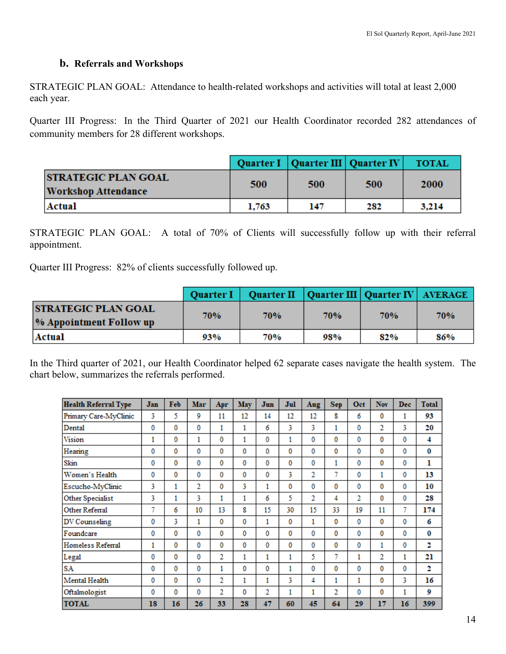## **b. Referrals and Workshops**

STRATEGIC PLAN GOAL: Attendance to health-related workshops and activities will total at least 2,000 each year.

Quarter III Progress: In the Third Quarter of 2021 our Health Coordinator recorded 282 attendances of community members for 28 different workshops.

|                                                    |       | Quarter I   Quarter III   Quarter IV |     | <b>TOTAL</b> |
|----------------------------------------------------|-------|--------------------------------------|-----|--------------|
| <b>STRATEGIC PLAN GOAL</b><br> Workshop Attendance | 500   | 500                                  | 500 | 2000         |
| Actual                                             | 1.763 | 147                                  | 282 | 3,214        |

STRATEGIC PLAN GOAL: A total of 70% of Clients will successfully follow up with their referral appointment.

Quarter III Progress: 82% of clients successfully followed up.

|                                                       | <b>Ouarter I</b> | Quarter II   Quarter III   Quarter IV   AVERAGE |     |     |     |
|-------------------------------------------------------|------------------|-------------------------------------------------|-----|-----|-----|
| <b>STRATEGIC PLAN GOAL</b><br>% Appointment Follow up | 70%              | 70%                                             | 70% | 70% | 70% |
| Actual                                                | 93%              | 70%                                             | 98% | 82% | 86% |

In the Third quarter of 2021, our Health Coordinator helped 62 separate cases navigate the health system. The chart below, summarizes the referrals performed.

| <b>Health Referral Type</b> | Jan | Feb | Mar | Apr | May | Jun          | Jul | Aug | <b>Sep</b> | Oct          | Nov            | <b>Dec</b> | <b>Total</b> |
|-----------------------------|-----|-----|-----|-----|-----|--------------|-----|-----|------------|--------------|----------------|------------|--------------|
| Primary Care-MyClinic       | 3   | 5   | 9   | 11  | 12  | 14           | 12  | 12  | 8          | 6            | 0              | 1          | 93           |
| Dental                      | 0   | 0   | 0   | 1   | 1   | 6            | 3   | 3   | 1          | 0            | $\overline{2}$ | 3          | 20           |
| Vision                      |     | 0   |     | 0   | 1   | 0            |     | 0   | 0          | 0            | 0              | 0          | 4            |
| Hearing                     | 0   | 0   | 0   | 0   | 0   | 0            | 0   | 0   | 0          | 0            | 0              | 0          | 0            |
| Skin                        | 0   | 0   | 0   | 0   | 0   | 0            | 0   | 0   | 1          | 0            | 0              | 0          | ı            |
| Women's Health              | 0   | 0   | 0   | 0   | 0   | 0            | 3   | 2   | 7          | 0            | 1              | 0          | 13           |
| Escucho-MyClinic            | 3   | 1   | 2   | 0   | 3   | $\mathbf{1}$ | 0   | 0   | 0          | 0            | 0              | 0          | 10           |
| Other Specialist            | 3   | 1   | 3   | 1   |     | 6            | 5   | 2   | 4          | 2            | 0              | 0          | 28           |
| Other Referral              | 7   | 6   | 10  | 13  | 8   | 15           | 30  | 15  | 33         | 19           | 11             | 7          | 174          |
| DV Counseling               | 0   | 3   |     | 0   | 0   | 1            | 0   | 1   | 0          | 0            | 0              | 0          | 6            |
| Foundcare                   | 0   | 0   | 0   | 0   | 0   | 0            | 0   | 0   | 0          | 0            | 0              | 0          | $\bf{0}$     |
| Homeless Referral           | 1   | 0   | 0   | 0   | 0   | 0            | 0   | 0   | 0          | 0            | 1              | 0          | 2            |
| Legal                       | 0   | 0   | 0   | 2   | 1   | 1            | 1   | 5   | 7          | $\mathbf{1}$ | 2              | 1          | 21           |
| <b>SA</b>                   | 0   | 0   | 0   | 1   | 0   | 0            |     | 0   | 0          | 0            | 0              | 0          | 2            |
| Mental Health               | 0   | 0   | 0   | 2   | 1   | 1            | 3   | 4   | 1          | $\mathbf{1}$ | 0              | 3          | 16           |
| Oftalmologist               | 0   | 0   | 0   | 2   | 0   | 2            |     | 1   | 2          | 0            | 0              | 1          | 9            |
| <b>TOTAL</b>                | 18  | 16  | 26  | 33  | 28  | 47           | 60  | 45  | 64         | 29           | 17             | 16         | 399          |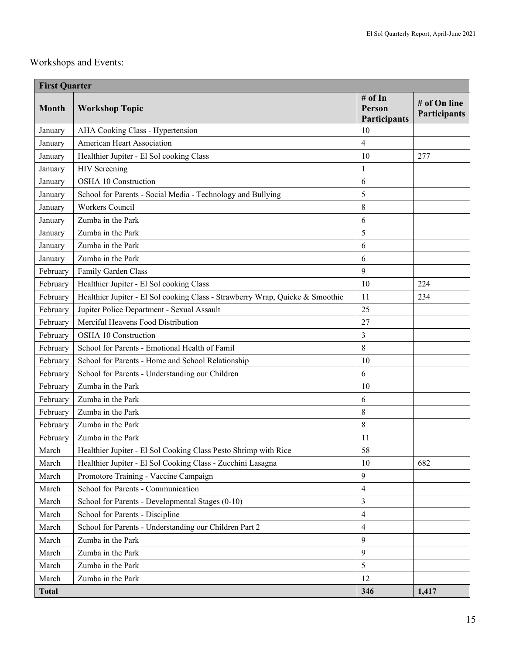## Workshops and Events:

| <b>First Quarter</b> |                                                                               |                                          |                              |  |  |  |  |
|----------------------|-------------------------------------------------------------------------------|------------------------------------------|------------------------------|--|--|--|--|
| <b>Month</b>         | <b>Workshop Topic</b>                                                         | # of In<br>Person<br><b>Participants</b> | # of On line<br>Participants |  |  |  |  |
| January              | AHA Cooking Class - Hypertension                                              | 10                                       |                              |  |  |  |  |
| January              | American Heart Association                                                    | 4                                        |                              |  |  |  |  |
| January              | Healthier Jupiter - El Sol cooking Class                                      | 10                                       | 277                          |  |  |  |  |
| January              | <b>HIV</b> Screening                                                          | 1                                        |                              |  |  |  |  |
| January              | OSHA 10 Construction                                                          | 6                                        |                              |  |  |  |  |
| January              | School for Parents - Social Media - Technology and Bullying                   | 5                                        |                              |  |  |  |  |
| January              | Workers Council                                                               | 8                                        |                              |  |  |  |  |
| January              | Zumba in the Park                                                             | 6                                        |                              |  |  |  |  |
| January              | Zumba in the Park                                                             | 5                                        |                              |  |  |  |  |
| January              | Zumba in the Park                                                             | 6                                        |                              |  |  |  |  |
| January              | Zumba in the Park                                                             | 6                                        |                              |  |  |  |  |
| February             | Family Garden Class                                                           | 9                                        |                              |  |  |  |  |
| February             | Healthier Jupiter - El Sol cooking Class                                      | 10                                       | 224                          |  |  |  |  |
| February             | Healthier Jupiter - El Sol cooking Class - Strawberry Wrap, Quicke & Smoothie | 11                                       | 234                          |  |  |  |  |
| February             | Jupiter Police Department - Sexual Assault                                    | 25                                       |                              |  |  |  |  |
| February             | Merciful Heavens Food Distribution                                            | 27                                       |                              |  |  |  |  |
| February             | OSHA 10 Construction                                                          | 3                                        |                              |  |  |  |  |
| February             | School for Parents - Emotional Health of Famil                                | 8                                        |                              |  |  |  |  |
| February             | School for Parents - Home and School Relationship                             | 10                                       |                              |  |  |  |  |
| February             | School for Parents - Understanding our Children                               | 6                                        |                              |  |  |  |  |
| February             | Zumba in the Park                                                             | 10                                       |                              |  |  |  |  |
| February             | Zumba in the Park                                                             | 6                                        |                              |  |  |  |  |
| February             | Zumba in the Park                                                             | 8                                        |                              |  |  |  |  |
| February             | Zumba in the Park                                                             | 8                                        |                              |  |  |  |  |
| February             | Zumba in the Park                                                             | 11                                       |                              |  |  |  |  |
| March                | Healthier Jupiter - El Sol Cooking Class Pesto Shrimp with Rice               | 58                                       |                              |  |  |  |  |
| March                | Healthier Jupiter - El Sol Cooking Class - Zucchini Lasagna                   | 10                                       | 682                          |  |  |  |  |
| March                | Promotore Training - Vaccine Campaign                                         | 9                                        |                              |  |  |  |  |
| March                | School for Parents - Communication                                            | $\overline{4}$                           |                              |  |  |  |  |
| March                | School for Parents - Developmental Stages (0-10)                              | $\mathfrak{Z}$                           |                              |  |  |  |  |
| March                | School for Parents - Discipline                                               | $\overline{4}$                           |                              |  |  |  |  |
| March                | School for Parents - Understanding our Children Part 2                        | $\overline{4}$                           |                              |  |  |  |  |
| March                | Zumba in the Park                                                             | 9                                        |                              |  |  |  |  |
| March                | Zumba in the Park                                                             | 9                                        |                              |  |  |  |  |
| March                | Zumba in the Park                                                             | 5                                        |                              |  |  |  |  |
| March                | Zumba in the Park                                                             | 12                                       |                              |  |  |  |  |
| <b>Total</b>         |                                                                               | 346                                      | 1,417                        |  |  |  |  |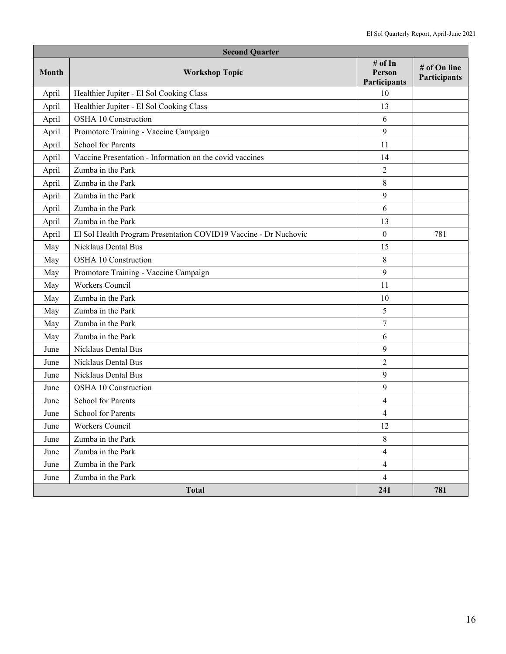| <b>Second Quarter</b> |                                                                  |                                   |                              |  |  |  |  |
|-----------------------|------------------------------------------------------------------|-----------------------------------|------------------------------|--|--|--|--|
| <b>Month</b>          | <b>Workshop Topic</b>                                            | # of In<br>Person<br>Participants | # of On line<br>Participants |  |  |  |  |
| April                 | Healthier Jupiter - El Sol Cooking Class                         | 10                                |                              |  |  |  |  |
| April                 | Healthier Jupiter - El Sol Cooking Class                         | 13                                |                              |  |  |  |  |
| April                 | OSHA 10 Construction                                             | 6                                 |                              |  |  |  |  |
| April                 | Promotore Training - Vaccine Campaign                            | 9                                 |                              |  |  |  |  |
| April                 | <b>School for Parents</b>                                        | 11                                |                              |  |  |  |  |
| April                 | Vaccine Presentation - Information on the covid vaccines         | 14                                |                              |  |  |  |  |
| April                 | Zumba in the Park                                                | $\overline{2}$                    |                              |  |  |  |  |
| April                 | Zumba in the Park                                                | $\,$ 8 $\,$                       |                              |  |  |  |  |
| April                 | Zumba in the Park                                                | 9                                 |                              |  |  |  |  |
| April                 | Zumba in the Park                                                | 6                                 |                              |  |  |  |  |
| April                 | Zumba in the Park                                                | 13                                |                              |  |  |  |  |
| April                 | El Sol Health Program Presentation COVID19 Vaccine - Dr Nuchovic | $\boldsymbol{0}$                  | 781                          |  |  |  |  |
| May                   | Nicklaus Dental Bus                                              | 15                                |                              |  |  |  |  |
| May                   | OSHA 10 Construction                                             | $\,$ 8 $\,$                       |                              |  |  |  |  |
| May                   | Promotore Training - Vaccine Campaign                            | 9                                 |                              |  |  |  |  |
| May                   | Workers Council                                                  | 11                                |                              |  |  |  |  |
| May                   | Zumba in the Park                                                | 10                                |                              |  |  |  |  |
| May                   | Zumba in the Park                                                | 5                                 |                              |  |  |  |  |
| May                   | Zumba in the Park                                                | 7                                 |                              |  |  |  |  |
| May                   | Zumba in the Park                                                | 6                                 |                              |  |  |  |  |
| June                  | Nicklaus Dental Bus                                              | 9                                 |                              |  |  |  |  |
| June                  | Nicklaus Dental Bus                                              | $\overline{2}$                    |                              |  |  |  |  |
| June                  | Nicklaus Dental Bus                                              | 9                                 |                              |  |  |  |  |
| June                  | OSHA 10 Construction                                             | 9                                 |                              |  |  |  |  |
| June                  | <b>School for Parents</b>                                        | 4                                 |                              |  |  |  |  |
| June                  | School for Parents                                               | $\overline{4}$                    |                              |  |  |  |  |
| June                  | Workers Council                                                  | 12                                |                              |  |  |  |  |
| June                  | Zumba in the Park                                                | $\,8\,$                           |                              |  |  |  |  |
| June                  | Zumba in the Park                                                | $\overline{4}$                    |                              |  |  |  |  |
| June                  | Zumba in the Park                                                | $\overline{4}$                    |                              |  |  |  |  |
| June                  | Zumba in the Park                                                | $\overline{4}$                    |                              |  |  |  |  |
|                       | <b>Total</b>                                                     | 241                               | 781                          |  |  |  |  |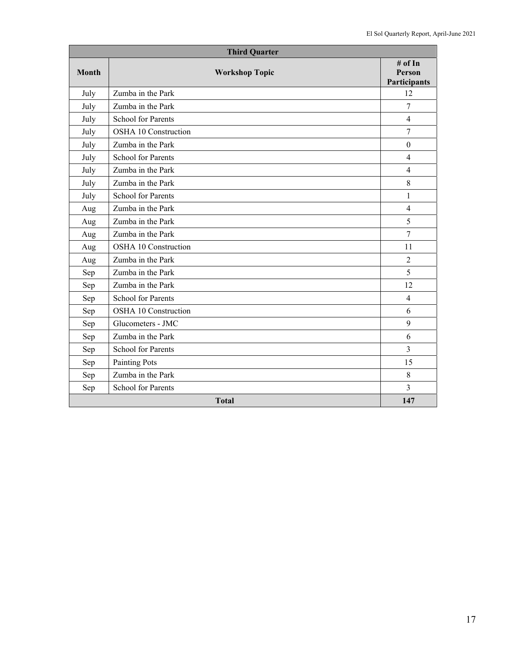|       | <b>Third Quarter</b>      |                                          |  |  |  |  |
|-------|---------------------------|------------------------------------------|--|--|--|--|
| Month | <b>Workshop Topic</b>     | # of In<br><b>Person</b><br>Participants |  |  |  |  |
| July  | Zumba in the Park         | 12                                       |  |  |  |  |
| July  | Zumba in the Park         | $\overline{7}$                           |  |  |  |  |
| July  | <b>School for Parents</b> | $\overline{4}$                           |  |  |  |  |
| July  | OSHA 10 Construction      | 7                                        |  |  |  |  |
| July  | Zumba in the Park         | $\mathbf{0}$                             |  |  |  |  |
| July  | <b>School for Parents</b> | $\overline{4}$                           |  |  |  |  |
| July  | Zumba in the Park         | $\overline{4}$                           |  |  |  |  |
| July  | Zumba in the Park         | 8                                        |  |  |  |  |
| July  | <b>School for Parents</b> | $\mathbf{1}$                             |  |  |  |  |
| Aug   | Zumba in the Park         | $\overline{4}$                           |  |  |  |  |
| Aug   | Zumba in the Park         | 5                                        |  |  |  |  |
| Aug   | Zumba in the Park         | $\overline{7}$                           |  |  |  |  |
| Aug   | OSHA 10 Construction      | 11                                       |  |  |  |  |
| Aug   | Zumba in the Park         | $\overline{2}$                           |  |  |  |  |
| Sep   | Zumba in the Park         | 5                                        |  |  |  |  |
| Sep   | Zumba in the Park         | 12                                       |  |  |  |  |
| Sep   | <b>School for Parents</b> | $\overline{4}$                           |  |  |  |  |
| Sep   | OSHA 10 Construction      | 6                                        |  |  |  |  |
| Sep   | Glucometers - JMC         | 9                                        |  |  |  |  |
| Sep   | Zumba in the Park         | 6                                        |  |  |  |  |
| Sep   | <b>School for Parents</b> | 3                                        |  |  |  |  |
| Sep   | <b>Painting Pots</b>      | 15                                       |  |  |  |  |
| Sep   | Zumba in the Park         | 8                                        |  |  |  |  |
| Sep   | School for Parents        | 3                                        |  |  |  |  |
|       | <b>Total</b>              |                                          |  |  |  |  |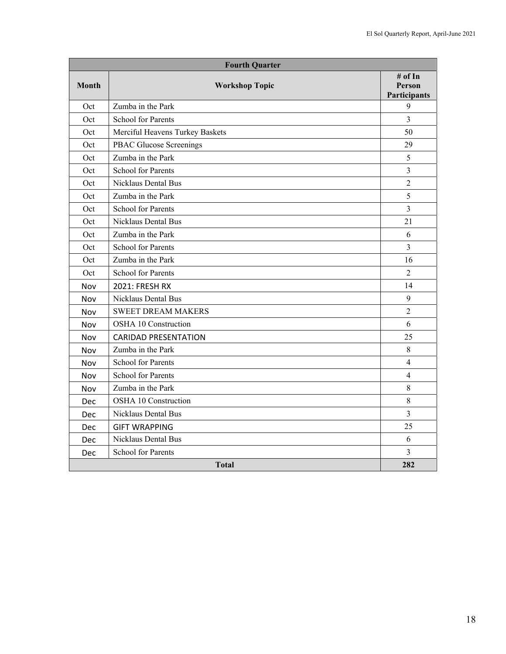| <b>Fourth Quarter</b> |                                 |                                          |  |  |  |  |
|-----------------------|---------------------------------|------------------------------------------|--|--|--|--|
| <b>Month</b>          | <b>Workshop Topic</b>           | # of In<br>Person<br><b>Participants</b> |  |  |  |  |
| Oct                   | Zumba in the Park               | 9                                        |  |  |  |  |
| Oct                   | <b>School for Parents</b>       | $\overline{3}$                           |  |  |  |  |
| Oct                   | Merciful Heavens Turkey Baskets | 50                                       |  |  |  |  |
| Oct                   | PBAC Glucose Screenings         | 29                                       |  |  |  |  |
| Oct                   | Zumba in the Park               | 5                                        |  |  |  |  |
| Oct                   | <b>School for Parents</b>       | $\overline{3}$                           |  |  |  |  |
| Oct                   | Nicklaus Dental Bus             | $\overline{2}$                           |  |  |  |  |
| Oct                   | Zumba in the Park               | 5                                        |  |  |  |  |
| Oct                   | <b>School for Parents</b>       | 3                                        |  |  |  |  |
| Oct                   | Nicklaus Dental Bus             | 21                                       |  |  |  |  |
| Oct                   | Zumba in the Park               | 6                                        |  |  |  |  |
| Oct                   | <b>School for Parents</b>       | $\overline{3}$                           |  |  |  |  |
| Oct                   | Zumba in the Park               | 16                                       |  |  |  |  |
| Oct                   | <b>School for Parents</b>       | $\overline{2}$                           |  |  |  |  |
| Nov                   | 2021: FRESH RX                  | 14                                       |  |  |  |  |
| Nov                   | Nicklaus Dental Bus             | 9                                        |  |  |  |  |
| Nov                   | <b>SWEET DREAM MAKERS</b>       | $\overline{2}$                           |  |  |  |  |
| Nov                   | OSHA 10 Construction            | 6                                        |  |  |  |  |
| Nov                   | <b>CARIDAD PRESENTATION</b>     | 25                                       |  |  |  |  |
| Nov                   | Zumba in the Park               | 8                                        |  |  |  |  |
| Nov                   | <b>School for Parents</b>       | $\overline{4}$                           |  |  |  |  |
| Nov                   | <b>School for Parents</b>       | 4                                        |  |  |  |  |
| Nov                   | Zumba in the Park               | 8                                        |  |  |  |  |
| Dec                   | OSHA 10 Construction            | 8                                        |  |  |  |  |
| Dec                   | <b>Nicklaus Dental Bus</b>      | $\overline{3}$                           |  |  |  |  |
| Dec                   | <b>GIFT WRAPPING</b>            | 25                                       |  |  |  |  |
| Dec                   | Nicklaus Dental Bus             | 6                                        |  |  |  |  |
| Dec                   | <b>School for Parents</b>       | 3                                        |  |  |  |  |
|                       | 282                             |                                          |  |  |  |  |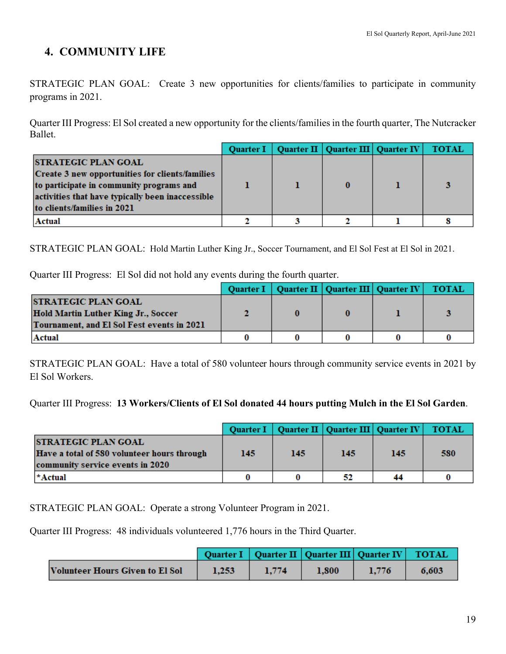# **4. COMMUNITY LIFE**

STRATEGIC PLAN GOAL: Create 3 new opportunities for clients/families to participate in community programs in 2021.

Quarter III Progress: El Sol created a new opportunity for the clients/families in the fourth quarter, The Nutcracker Ballet.

|                                                  | <b>Ouarter I</b> | Quarter II   Quarter III   Quarter IV | <b>TOTAL</b> |
|--------------------------------------------------|------------------|---------------------------------------|--------------|
| <b>STRATEGIC PLAN GOAL</b>                       |                  |                                       |              |
| Create 3 new opportunities for clients/families  |                  |                                       |              |
| to participate in community programs and         |                  |                                       |              |
| activities that have typically been inaccessible |                  |                                       |              |
| to clients/families in 2021                      |                  |                                       |              |
| Actual                                           |                  |                                       |              |

STRATEGIC PLAN GOAL: Hold Martin Luther King Jr., Soccer Tournament, and El Sol Fest at El Sol in 2021.

Quarter III Progress: El Sol did not hold any events during the fourth quarter.

|                                                                                                                        | <b>Ouarter I</b> | Quarter II   Quarter III   Quarter IV | <b>TOTAL</b> |
|------------------------------------------------------------------------------------------------------------------------|------------------|---------------------------------------|--------------|
| <b>STRATEGIC PLAN GOAL</b><br><b>Hold Martin Luther King Jr., Soccer</b><br>Tournament, and El Sol Fest events in 2021 |                  |                                       |              |
| Actual                                                                                                                 |                  |                                       |              |

STRATEGIC PLAN GOAL: Have a total of 580 volunteer hours through community service events in 2021 by El Sol Workers.

Quarter III Progress: **13 Workers/Clients of El Sol donated 44 hours putting Mulch in the El Sol Garden**.

|                                                                                                               |     |     | Quarter I   Quarter II   Quarter III   Quarter IV   TOTAL |     |     |
|---------------------------------------------------------------------------------------------------------------|-----|-----|-----------------------------------------------------------|-----|-----|
| <b>STRATEGIC PLAN GOAL</b><br>Have a total of 580 volunteer hours through<br>community service events in 2020 | 145 | 145 | 145                                                       | 145 | 580 |
| *Actual                                                                                                       |     |     | 52                                                        | 44  |     |

STRATEGIC PLAN GOAL: Operate a strong Volunteer Program in 2021.

Quarter III Progress: 48 individuals volunteered 1,776 hours in the Third Quarter.

|                                 |       |       | Quarter I   Quarter II   Quarter III   Quarter IV   TOTAL |       |       |
|---------------------------------|-------|-------|-----------------------------------------------------------|-------|-------|
| Volunteer Hours Given to El Sol | 1.253 | 1.774 | 1.800                                                     | 1.776 | 6.603 |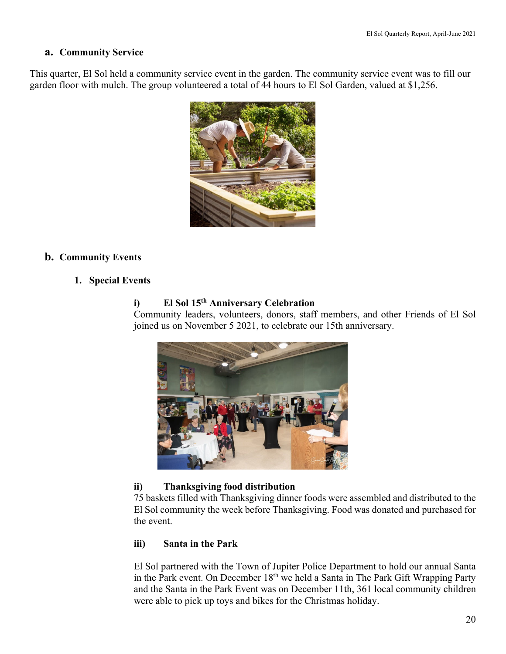#### **a. Community Service**

This quarter, El Sol held a community service event in the garden. The community service event was to fill our garden floor with mulch. The group volunteered a total of 44 hours to El Sol Garden, valued at \$1,256.



## **b. Community Events**

## **1. Special Events**

## **i) El Sol 15th Anniversary Celebration**

Community leaders, volunteers, donors, staff members, and other Friends of El Sol joined us on November 5 2021, to celebrate our 15th anniversary.



## **ii) Thanksgiving food distribution**

75 baskets filled with Thanksgiving dinner foods were assembled and distributed to the El Sol community the week before Thanksgiving. Food was donated and purchased for the event.

## **iii) Santa in the Park**

El Sol partnered with the Town of Jupiter Police Department to hold our annual Santa in the Park event. On December 18th we held a Santa in The Park Gift Wrapping Party and the Santa in the Park Event was on December 11th, 361 local community children were able to pick up toys and bikes for the Christmas holiday.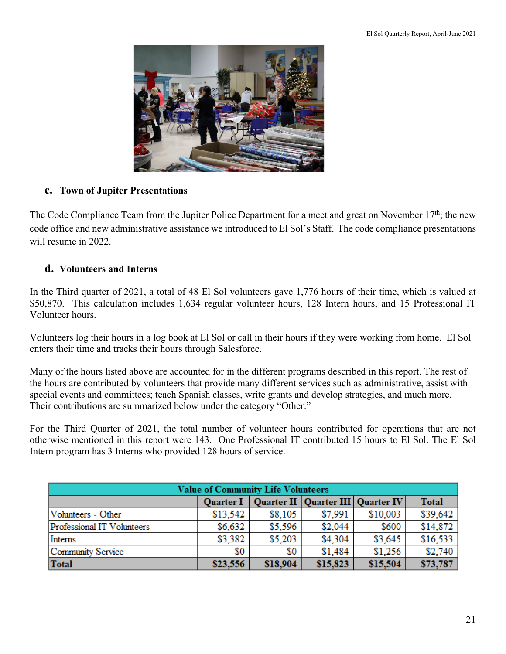

## **c. Town of Jupiter Presentations**

The Code Compliance Team from the Jupiter Police Department for a meet and great on November 17<sup>th</sup>; the new code office and new administrative assistance we introduced to El Sol's Staff. The code compliance presentations will resume in 2022.

## **d. Volunteers and Interns**

In the Third quarter of 2021, a total of 48 El Sol volunteers gave 1,776 hours of their time, which is valued at \$50,870. This calculation includes 1,634 regular volunteer hours, 128 Intern hours, and 15 Professional IT Volunteer hours.

Volunteers log their hours in a log book at El Sol or call in their hours if they were working from home. El Sol enters their time and tracks their hours through Salesforce.

Many of the hours listed above are accounted for in the different programs described in this report. The rest of the hours are contributed by volunteers that provide many different services such as administrative, assist with special events and committees; teach Spanish classes, write grants and develop strategies, and much more. Their contributions are summarized below under the category "Other."

For the Third Quarter of 2021, the total number of volunteer hours contributed for operations that are not otherwise mentioned in this report were 143. One Professional IT contributed 15 hours to El Sol. The El Sol Intern program has 3 Interns who provided 128 hours of service.

| <b>Value of Community Life Volunteers</b> |          |          |                                                   |          |              |  |
|-------------------------------------------|----------|----------|---------------------------------------------------|----------|--------------|--|
|                                           |          |          | Quarter I   Quarter II   Quarter III   Quarter IV |          | <b>Total</b> |  |
| Volunteers - Other                        | \$13,542 | \$8.105  | \$7,991                                           | \$10,003 | \$39,642     |  |
| Professional IT Volunteers                | \$6,632  | \$5,596  | \$2,044                                           | \$600    | \$14,872     |  |
| Interns                                   | \$3,382  | \$5,203  | \$4,304                                           | \$3,645  | \$16,533     |  |
| Community Service                         | \$0      | \$0      | \$1,484                                           | \$1,256  | \$2,740      |  |
| Total                                     | \$23,556 | \$18,904 | \$15,823                                          | \$15,504 | \$73,787     |  |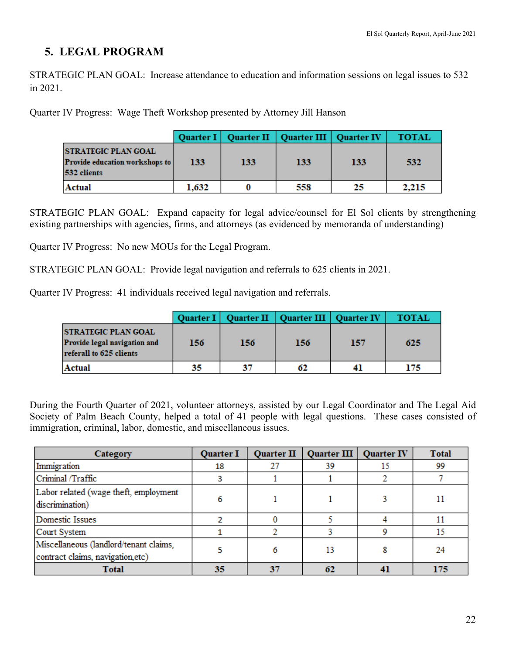# **5. LEGAL PROGRAM**

STRATEGIC PLAN GOAL: Increase attendance to education and information sessions on legal issues to 532 in 2021.

Quarter IV Progress: Wage Theft Workshop presented by Attorney Jill Hanson

|                                                                             |       |     | Quarter I   Quarter II   Quarter III   Quarter IV |     | <b>TOTAL</b> |
|-----------------------------------------------------------------------------|-------|-----|---------------------------------------------------|-----|--------------|
| <b>STRATEGIC PLAN GOAL</b><br>Provide education workshops to<br>532 clients | 133   | 133 | 133                                               | 133 | 532          |
| Actual                                                                      | 1,632 |     | 558                                               | 25  | 2,215        |

STRATEGIC PLAN GOAL: Expand capacity for legal advice/counsel for El Sol clients by strengthening existing partnerships with agencies, firms, and attorneys (as evidenced by memoranda of understanding)

Quarter IV Progress: No new MOUs for the Legal Program.

STRATEGIC PLAN GOAL: Provide legal navigation and referrals to 625 clients in 2021.

Quarter IV Progress: 41 individuals received legal navigation and referrals.

|                                                                                       |     |     | Quarter I   Quarter II   Quarter III   Quarter IV |     | <b>TOTAL</b> |
|---------------------------------------------------------------------------------------|-----|-----|---------------------------------------------------|-----|--------------|
| <b>STRATEGIC PLAN GOAL</b><br>Provide legal navigation and<br>referall to 625 clients | 156 | 156 | 156                                               | 157 | 625          |
| Actual                                                                                | 35  | 37  | 62                                                | 41  | 175          |

During the Fourth Quarter of 2021, volunteer attorneys, assisted by our Legal Coordinator and The Legal Aid Society of Palm Beach County, helped a total of 41 people with legal questions. These cases consisted of immigration, criminal, labor, domestic, and miscellaneous issues.

| Category                                                                    | <b>Quarter I</b> | <b>Quarter II</b> | <b>Quarter III</b> | <b>Quarter IV</b> | <b>Total</b> |
|-----------------------------------------------------------------------------|------------------|-------------------|--------------------|-------------------|--------------|
| Immigration                                                                 | 18               | 27                | 39                 | 15                | 99           |
| Criminal /Traffic                                                           |                  |                   |                    |                   |              |
| Labor related (wage theft, employment<br>discrimination)                    | 6                |                   |                    |                   |              |
| Domestic Issues                                                             |                  |                   |                    |                   |              |
| Court System                                                                |                  |                   |                    |                   | 15           |
| Miscellaneous (landlord/tenant claims,<br>contract claims, navigation, etc) |                  |                   |                    |                   | 24           |
| <b>Total</b>                                                                | 35               | 37                |                    | 41                | 175          |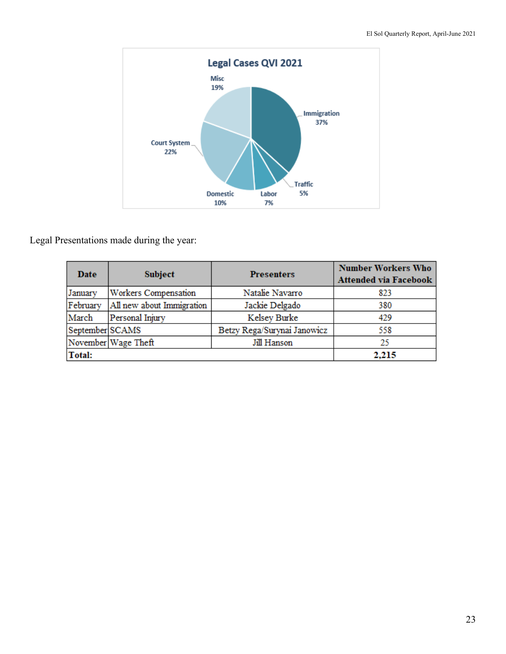

Legal Presentations made during the year:

| <b>Date</b>     | <b>Subject</b>            | <b>Presenters</b>           | <b>Number Workers Who</b><br><b>Attended via Facebook</b> |
|-----------------|---------------------------|-----------------------------|-----------------------------------------------------------|
| January         | Workers Compensation      | Natalie Navarro             | 823                                                       |
| February        | All new about Immigration | Jackie Delgado              | 380                                                       |
| March           | Personal Injury           | Kelsey Burke                | 429                                                       |
| September SCAMS |                           | Betzy Rega/Surynai Janowicz | 558                                                       |
|                 | November Wage Theft       | Jill Hanson                 | 25                                                        |
| Total:          |                           |                             | 2,215                                                     |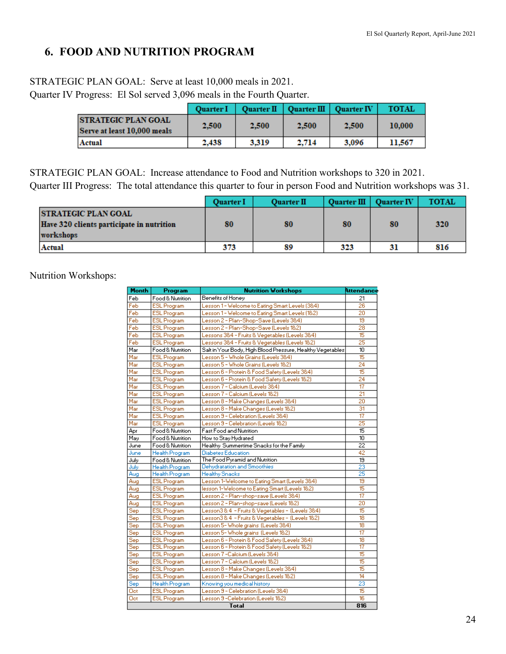# **6. FOOD AND NUTRITION PROGRAM**

## STRATEGIC PLAN GOAL: Serve at least 10,000 meals in 2021.

Quarter IV Progress: El Sol served 3,096 meals in the Fourth Quarter.

|                                                           | <b>Ouarter I</b> |       | Quarter II   Quarter III   Quarter IV |       | <b>TOTAL</b> |
|-----------------------------------------------------------|------------------|-------|---------------------------------------|-------|--------------|
| <b>STRATEGIC PLAN GOAL</b><br>Serve at least 10,000 meals | 2.500            | 2.500 | 2.500                                 | 2.500 | 10,000       |
| Actual                                                    | 2.438            | 3.319 | 2.714                                 | 3.096 | 11.567       |

STRATEGIC PLAN GOAL: Increase attendance to Food and Nutrition workshops to 320 in 2021. Quarter III Progress: The total attendance this quarter to four in person Food and Nutrition workshops was 31.

|                                                                                      | <b>Ouarter I</b> | <b>Ouarter II</b> | Quarter III   Quarter IV |    | <b>TOTAL</b> |
|--------------------------------------------------------------------------------------|------------------|-------------------|--------------------------|----|--------------|
| <b>STRATEGIC PLAN GOAL</b><br>Have 320 clients participate in nutrition<br>workshops | 80               | 80                | 80                       | 80 | 320          |
| Actual                                                                               | 373              | 89                | 323                      | 31 | 816          |

Nutrition Workshops:

| Month | Program               | <b>Nutrition Workshops</b>                                 | <b>Attendance</b>        |
|-------|-----------------------|------------------------------------------------------------|--------------------------|
| Feb   | Food & Nutrition      | Benefits of Honey                                          | 21                       |
| Feb   | <b>ESL Program</b>    | Lesson 1- Welcome to Eating Smart Levels (384)             | 26                       |
| Feb   | <b>ESL Program</b>    | Lesson 1 - Welcome to Eating Smart Levels (182)            | $\overline{20}$          |
| Feb   | <b>ESL Program</b>    | Lesson 2 - Plan-Shop-Save (Levels 384)                     | 19                       |
| Feb   | <b>ESL Program</b>    | Lesson 2 - Plan-Shop-Save (Levels 182)                     | 28                       |
| Feb   | <b>ESL Program</b>    | Lessons 38:4 - Fruits & Vegetables (Levels 38:4)           | 15                       |
| Feb   | <b>ESL Program</b>    | Lessons 38:4 - Fruits & Vegetables (Levels 18:2)           | $\overline{25}$          |
| Mar   | Food & Nutrition      | Salt in Your Body, High Blood Pressure, Healthy Vegetables | 10                       |
| Mar   | <b>ESL Program</b>    | Lesson 5 - Whole Grains (Levels 38:4)                      | 15                       |
| Mar   | <b>ESL Program</b>    | Lesson 5 - Whole Grains (Levels 18:2)                      | 24                       |
| Mar   | <b>ESL Program</b>    | Lesson 6 - Protein & Food Safety (Levels 3&4)              | 15                       |
| Mar   | <b>ESL Program</b>    | Lesson 6 - Protein & Food Safety (Levels 182)              | 24                       |
| Mar   | <b>ESL Program</b>    | Lesson 7 - Calcium (Levels 38:4)                           | $\overline{\mathbb{17}}$ |
| Mar   | <b>ESL Program</b>    | Lesson 7 - Calcium (Levels 182)                            | 21                       |
| Mar   | <b>ESL Program</b>    | Lesson 8 - Make Changes (Levels 38:4)                      | $\overline{20}$          |
| Mar   | <b>ESL Program</b>    | Lesson 8 - Make Changes (Levels 18:2)                      | 31                       |
| Mar   | <b>ESL Program</b>    | Lesson 9 - Celebration (Levels 38:4)                       | 17                       |
| Mar   | <b>ESL Program</b>    | Lesson 9 - Celebration (Levels 18/2)                       | 25                       |
| Apr   | Food & Nutrition      | <b>Fast Food and Nutrition</b>                             | $\overline{15}$          |
| May   | Food & Nutrition      | How to Stay Hydrated                                       | $\overline{10}$          |
| June  | Food & Nutrition      | Healthy Summertime Snacks for the Family                   | $\overline{22}$          |
| June  | <b>Health Program</b> | <b>Diabetes Education</b>                                  | 42                       |
| July  | Food & Nutrition      | The Food Puramid and Nutrition                             | 19                       |
| July  | Health Program        | Dehydratation and Smoothies                                | 23                       |
| Aug   | Health Program        | <b>Healthy Snacks</b>                                      | 25                       |
| Aug   | <b>ESL Program</b>    | Lesson 1-Welcome to Eating Smart (Levels 384)              | 19                       |
| Aug   | <b>ESL Program</b>    | lesson 1-Welcome to Eating Smart (Levels 182)              | 15                       |
| Aug   | <b>ESL Program</b>    | Lesson 2 - Plan-shop-save (Levels 384)                     | $\overline{17}$          |
| Aug   | <b>ESL Program</b>    | Lesson 2 - Plan-shop-save (Levels 182)                     | $\overline{20}$          |
| Sep   | <b>ESL Program</b>    | Lesson3&4 - Fruits & Vegetables - (Levels 3&4)             | 15                       |
| Sep   | <b>ESL Program</b>    | Lesson3 & 4 - Fruits & Vegetables - (Levels 1&2)           | 18                       |
| Sep   | <b>ESL Program</b>    | Lesson 5- Whole grains (Levels 38:4)                       | $\overline{18}$          |
| Sep   | <b>ESL Program</b>    | Lesson 5- Whole grains (Levels 18:2)                       |                          |
| Sep   | <b>ESL Program</b>    | Lesson 6 - Protein & Food Safety (Levels 384)              | $\overline{18}$          |
| Sep   | <b>ESL Program</b>    | Lesson 6 - Protein & Food Safety (Levels 182)              | $\overline{17}$          |
| Sep   | <b>ESL Program</b>    | Lesson 7-Calcium (Levels 38:4)                             | 15                       |
| Sep   | <b>ESL Program</b>    | Lesson 7 - Calcium (Levels 18/2)                           | 15                       |
| Sep   | <b>ESL Program</b>    | Lesson 8 - Make Changes (Levels 38:4)                      | 15                       |
| Sep   | <b>ESL Program</b>    | Lesson 8 - Make Changes (Levels 18:2)                      | $\overline{14}$          |
| Sep   | Health Program        | Knowing you medical history                                | $\overline{23}$          |
| Oet   | <b>ESL Program</b>    | Lesson 3 - Celebration (Levels 38:4)                       | 15                       |
| Oct   | <b>ESL Program</b>    | Lesson 3-Celebration (Levels 18/2)                         | 16                       |
|       |                       | Total                                                      | 816                      |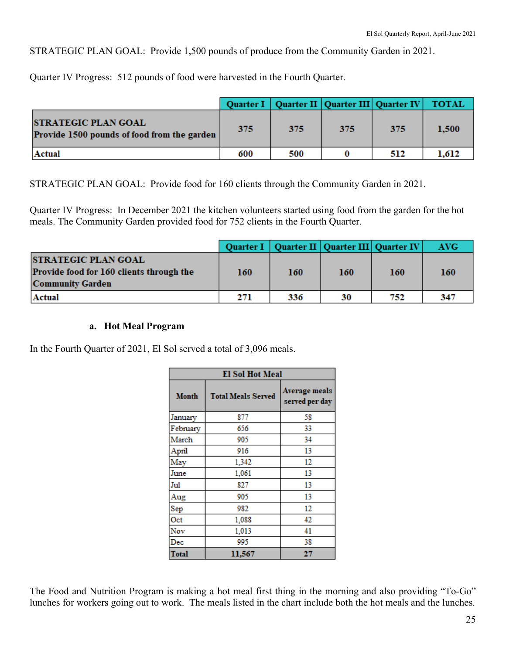STRATEGIC PLAN GOAL: Provide 1,500 pounds of produce from the Community Garden in 2021.

Quarter IV Progress: 512 pounds of food were harvested in the Fourth Quarter.

|                                                                           |     |     | Quarter I   Quarter II   Quarter III   Quarter IV   TOTAL |     |       |
|---------------------------------------------------------------------------|-----|-----|-----------------------------------------------------------|-----|-------|
| <b>STRATEGIC PLAN GOAL</b><br>Provide 1500 pounds of food from the garden | 375 | 375 | 375                                                       | 375 | 1,500 |
| Actual                                                                    | 600 | 500 |                                                           | 512 | 1.612 |

STRATEGIC PLAN GOAL: Provide food for 160 clients through the Community Garden in 2021.

Quarter IV Progress: In December 2021 the kitchen volunteers started using food from the garden for the hot meals. The Community Garden provided food for 752 clients in the Fourth Quarter.

|                                                                                                   |     |     | Quarter I   Quarter II   Quarter III   Quarter IV |     | AVG- |
|---------------------------------------------------------------------------------------------------|-----|-----|---------------------------------------------------|-----|------|
| <b>STRATEGIC PLAN GOAL</b><br>Provide food for 160 clients through the<br><b>Community Garden</b> | 160 | 160 | 160                                               | 160 | 160  |
| Actual                                                                                            | 271 | 336 | 30                                                | 752 | 347  |

## **a. Hot Meal Program**

In the Fourth Quarter of 2021, El Sol served a total of 3,096 meals.

| <b>El Sol Hot Meal</b>                    |        |                                        |  |  |
|-------------------------------------------|--------|----------------------------------------|--|--|
| <b>Month</b><br><b>Total Meals Served</b> |        | <b>Average meals</b><br>served per day |  |  |
| January                                   | 877    | 58                                     |  |  |
| February                                  | 656    | 33                                     |  |  |
| March                                     | 905    | 34                                     |  |  |
| April                                     | 916    | 13                                     |  |  |
| May                                       | 1,342  | 12                                     |  |  |
| June                                      | 1,061  | 13                                     |  |  |
| Jul                                       | 827    | 13                                     |  |  |
| Aug                                       | 905    | 13                                     |  |  |
| Sep                                       | 982    | 12                                     |  |  |
| Oct                                       | 1,088  | 42                                     |  |  |
| Nov                                       | 1,013  | 41                                     |  |  |
| Dec                                       | 995    | 38                                     |  |  |
| <b>Total</b>                              | 11.567 | 27                                     |  |  |

The Food and Nutrition Program is making a hot meal first thing in the morning and also providing "To-Go" lunches for workers going out to work. The meals listed in the chart include both the hot meals and the lunches.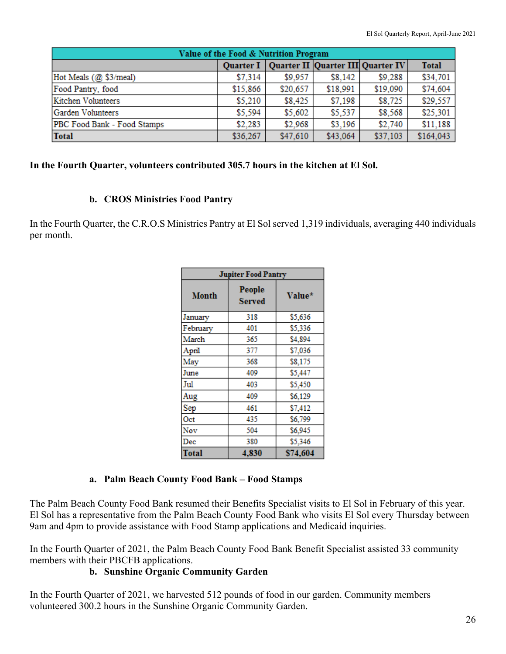| Value of the Food & Nutrition Program |          |                                                   |          |          |              |  |  |  |
|---------------------------------------|----------|---------------------------------------------------|----------|----------|--------------|--|--|--|
|                                       |          | Quarter I   Quarter II   Quarter III   Quarter IV |          |          | <b>Total</b> |  |  |  |
| Hot Meals (@ \$3/meal)                | \$7,314  | \$9,957                                           | \$8,142  | \$9,288  | \$34,701     |  |  |  |
| Food Pantry, food                     | \$15,866 | \$20,657                                          | \$18,991 | \$19,090 | \$74,604     |  |  |  |
| Kitchen Volunteers                    | \$5.210  | \$8,425                                           | \$7,198  | \$8,725  | \$29,557     |  |  |  |
| Garden Volunteers                     | \$5,594  | \$5,602                                           | \$5,537  | \$8,568  | \$25,301     |  |  |  |
| PBC Food Bank - Food Stamps           | \$2,283  | \$2,968                                           | \$3,196  | \$2,740  | \$11,188     |  |  |  |
| <b>Total</b>                          | \$36,267 | \$47,610                                          | \$43,064 | \$37,103 | \$164,043    |  |  |  |

#### **In the Fourth Quarter, volunteers contributed 305.7 hours in the kitchen at El Sol.**

#### **b. CROS Ministries Food Pantry**

In the Fourth Quarter, the C.R.O.S Ministries Pantry at El Sol served 1,319 individuals, averaging 440 individuals per month.

| <b>Jupiter Food Pantry</b> |                  |          |  |  |  |  |
|----------------------------|------------------|----------|--|--|--|--|
| <b>Month</b>               | People<br>Served | Value*   |  |  |  |  |
| January                    | 318              | \$5,636  |  |  |  |  |
| February                   | 401              | \$5,336  |  |  |  |  |
| March                      | 365              | \$4,894  |  |  |  |  |
| April                      | 377              | \$7,036  |  |  |  |  |
| May                        | 368              | \$8,175  |  |  |  |  |
| June                       | 409              | \$5,447  |  |  |  |  |
| Jul                        | 403              | \$5,450  |  |  |  |  |
| Aug                        | 409              | \$6,129  |  |  |  |  |
| Sep                        | 461              | \$7,412  |  |  |  |  |
| Oct                        | 435              | \$6,799  |  |  |  |  |
| Nov                        | 504              | \$6,945  |  |  |  |  |
| Dec                        | 380              | \$5,346  |  |  |  |  |
| Total                      | 4,830            | \$74,604 |  |  |  |  |

#### **a. Palm Beach County Food Bank – Food Stamps**

The Palm Beach County Food Bank resumed their Benefits Specialist visits to El Sol in February of this year. El Sol has a representative from the Palm Beach County Food Bank who visits El Sol every Thursday between 9am and 4pm to provide assistance with Food Stamp applications and Medicaid inquiries.

In the Fourth Quarter of 2021, the Palm Beach County Food Bank Benefit Specialist assisted 33 community members with their PBCFB applications.

#### **b. Sunshine Organic Community Garden**

In the Fourth Quarter of 2021, we harvested 512 pounds of food in our garden. Community members volunteered 300.2 hours in the Sunshine Organic Community Garden.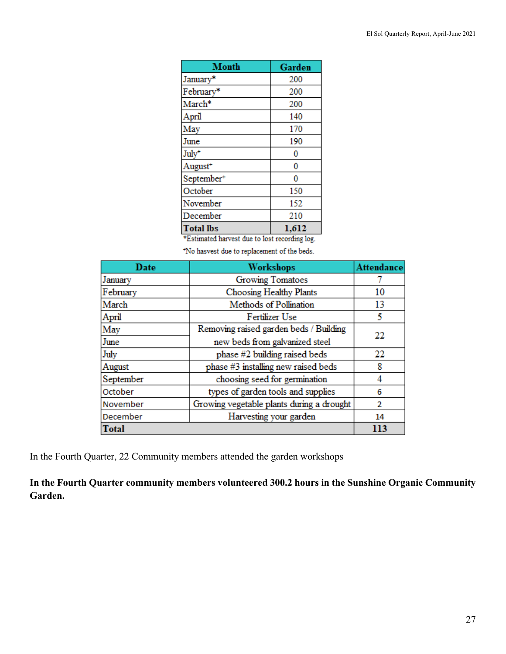| Month                  | Garden |
|------------------------|--------|
| January*               | 200    |
| February*              | 200    |
| March*                 | 200    |
| April                  | 140    |
| May                    | 170    |
| June                   | 190    |
| July <sup>+</sup>      | 0      |
| August <sup>+</sup>    | 0      |
| September <sup>+</sup> | 0      |
| October                | 150    |
| November               | 152    |
| December               | 210    |
| <b>Total lbs</b>       | 1,612  |

\*Estimated harvest due to lost recording log.

\*No hasvest due to replacement of the beds.

| Date      | Workshops                                 | <b>Attendance</b> |
|-----------|-------------------------------------------|-------------------|
| January   | <b>Growing Tomatoes</b>                   |                   |
| February  | Choosing Healthy Plants                   | 10                |
| March     | Methods of Pollination                    | 13                |
| April     | Fertilizer Use                            | 5                 |
| May       | Removing raised garden beds / Building    | 22                |
| June      | new beds from galvanized steel            |                   |
| July      | phase #2 building raised beds             | 22                |
| August    | phase #3 installing new raised beds       | 8                 |
| September | choosing seed for germination             | 4                 |
| October   | types of garden tools and supplies        | 6                 |
| November  | Growing vegetable plants during a drought | 2                 |
| December  | Harvesting your garden                    | 14                |
| Total     |                                           | 113               |

In the Fourth Quarter, 22 Community members attended the garden workshops

**In the Fourth Quarter community members volunteered 300.2 hours in the Sunshine Organic Community Garden.**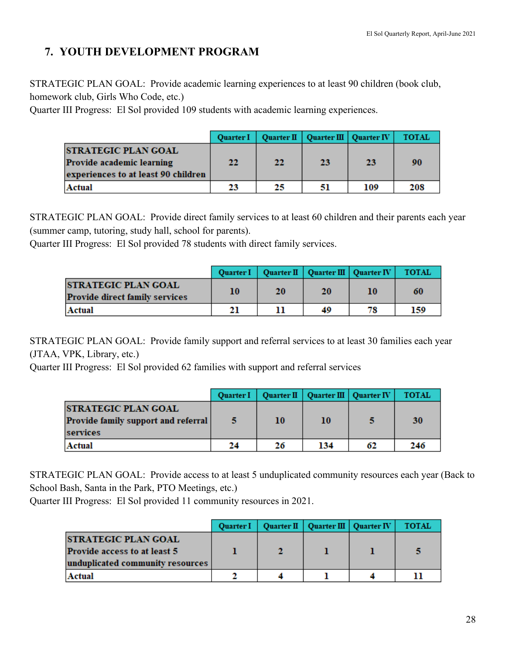# **7. YOUTH DEVELOPMENT PROGRAM**

STRATEGIC PLAN GOAL: Provide academic learning experiences to at least 90 children (book club, homework club, Girls Who Code, etc.)

Quarter III Progress: El Sol provided 109 students with academic learning experiences.

|                                                                                                | <b>Ouarter I</b> |    | Quarter II   Quarter III   Quarter IV |     | <b>TOTAL</b> |
|------------------------------------------------------------------------------------------------|------------------|----|---------------------------------------|-----|--------------|
| <b>STRATEGIC PLAN GOAL</b><br>Provide academic learning<br>experiences to at least 90 children | 22               | 22 | 23                                    | 23  | 90           |
| Actual                                                                                         | 23               | 25 | 51                                    | 109 | 208          |

STRATEGIC PLAN GOAL: Provide direct family services to at least 60 children and their parents each year (summer camp, tutoring, study hall, school for parents).

Quarter III Progress: El Sol provided 78 students with direct family services.

|                                                                      |    |    |    | Quarter I   Quarter II   Quarter III   Quarter IV | <b>TOTAL</b> |
|----------------------------------------------------------------------|----|----|----|---------------------------------------------------|--------------|
| <b>ISTRATEGIC PLAN GOAL</b><br><b>Provide direct family services</b> | 10 | 20 | 20 | 10                                                | 60           |
| Actual                                                               | 21 |    | 49 | 78                                                | 159          |

STRATEGIC PLAN GOAL: Provide family support and referral services to at least 30 families each year (JTAA, VPK, Library, etc.)

Quarter III Progress: El Sol provided 62 families with support and referral services

|                                                                               | <b>Quarter I</b> |    | Quarter II   Quarter III   Quarter IV |    | <b>TOTAL</b> |
|-------------------------------------------------------------------------------|------------------|----|---------------------------------------|----|--------------|
| <b>STRATEGIC PLAN GOAL</b><br>Provide family support and referral<br>services |                  | 10 | 10                                    |    | 30           |
| <b>Actual</b>                                                                 | 24               | 26 | 134                                   | 62 | 246          |

STRATEGIC PLAN GOAL: Provide access to at least 5 unduplicated community resources each year (Back to School Bash, Santa in the Park, PTO Meetings, etc.)

Quarter III Progress: El Sol provided 11 community resources in 2021.

|                                  | <b>Ouarter I</b> |  | Quarter II   Quarter III   Quarter IV | <b>TOTAL</b> |
|----------------------------------|------------------|--|---------------------------------------|--------------|
| <b>ISTRATEGIC PLAN GOAL</b>      |                  |  |                                       |              |
| Provide access to at least 5     |                  |  |                                       |              |
| unduplicated community resources |                  |  |                                       |              |
| Actual                           |                  |  |                                       |              |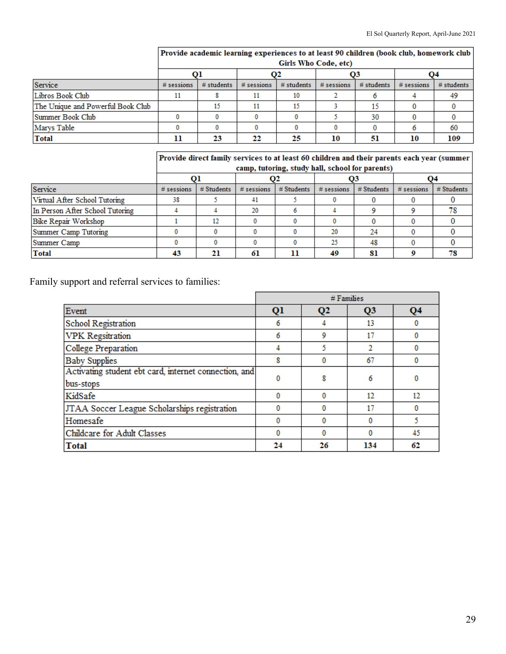|                                   | Girls Who Code, etc) |            |              |              |              |              |              |              |
|-----------------------------------|----------------------|------------|--------------|--------------|--------------|--------------|--------------|--------------|
|                                   |                      |            | Ο2           |              | O3           |              | Ο4           |              |
| Service                           | $#$ sessions         | # students | $#$ sessions | $#$ students | $#$ sessions | $#$ students | $#$ sessions | $#$ students |
| Libros Book Club                  | 11                   |            |              | 10           |              |              |              | 49           |
| The Unique and Powerful Book Club |                      | 15         | 11           |              |              | 15           |              |              |
| Summer Book Club                  |                      |            |              |              |              | 30           |              |              |
| Marys Table                       |                      |            |              |              |              |              |              | 60           |
| Total                             |                      | 23         | 22           | 25           | 10           | 51           | 10           | 109          |

# Provide academic learning experiences to at least 90 children (book club, homework club

Provide direct family services to at least 60 children and their parents each year (summer<br>camp, tutoring, study hall, school for parents)

|                                 | camp, tutoring, study nan, school for parents) |              |              |              |              |              |              |              |
|---------------------------------|------------------------------------------------|--------------|--------------|--------------|--------------|--------------|--------------|--------------|
|                                 |                                                |              |              |              |              |              | Ο4           |              |
| Service                         | $#$ sessions                                   | $#$ Students | $#$ sessions | $#$ Students | $#$ sessions | $#$ Students | $#$ sessions | $#$ Students |
| Virtual After School Tutoring   | 38                                             |              |              |              |              |              |              |              |
| In Person After School Tutoring |                                                |              | 20           |              |              |              |              |              |
| Bike Repair Workshop            |                                                | 12           |              |              |              |              |              |              |
| Summer Camp Tutoring            |                                                |              |              |              | 20           | 24           |              |              |
| Summer Camp                     |                                                |              |              |              | 25           | 48           |              |              |
| Total                           |                                                | 21           | 61           |              | 49           | 81           |              | 78           |

Family support and referral services to families:

|                                                                    | $#$ Families |                           |                |    |
|--------------------------------------------------------------------|--------------|---------------------------|----------------|----|
| Event                                                              | Q1           | $\mathbf{Q}$ <sub>2</sub> | Q <sub>3</sub> | Q4 |
| School Registration                                                | 6            |                           | 13             | 0  |
| <b>VPK</b> Regsitration                                            | 6            | 9                         | 17             | 0  |
| College Preparation                                                |              |                           |                | 0  |
| <b>Baby Supplies</b>                                               | 8            | 0                         | 67             | 0  |
| Activating student ebt card, internet connection, and<br>bus-stops |              | 8                         | 6              | 0  |
| KidSafe                                                            |              | 0                         | 12             | 12 |
| JTAA Soccer League Scholarships registration                       |              |                           | 17             | 0  |
| Homesafe                                                           |              |                           | 0              |    |
| Childcare for Adult Classes                                        |              | 0                         | 0              | 45 |
| Total                                                              | 24           | 26                        | 134            | 62 |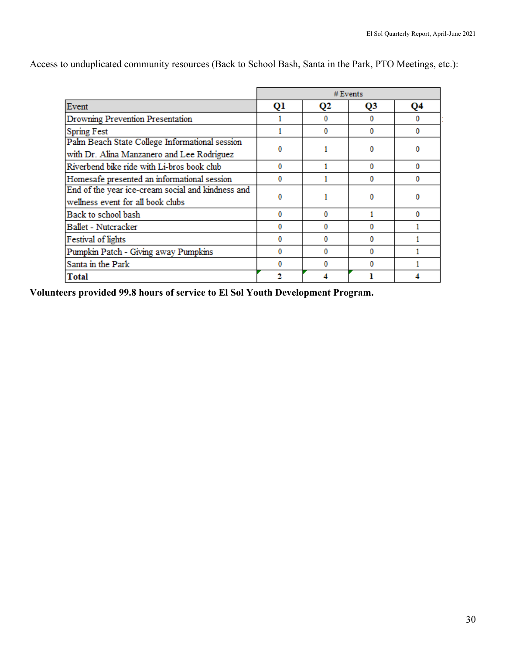|                                                                                              | # Events |                |          |          |  |
|----------------------------------------------------------------------------------------------|----------|----------------|----------|----------|--|
| Event                                                                                        | Ql       | Q <sub>2</sub> | Q3       | Q4       |  |
| Drowning Prevention Presentation                                                             |          | 0              | $\Omega$ | $\bf{0}$ |  |
| <b>Spring Fest</b>                                                                           |          | 0              | o        | $\Omega$ |  |
| Palm Beach State College Informational session<br>with Dr. Alina Manzanero and Lee Rodriguez | 0        |                | 0        | 0        |  |
| Riverbend bike ride with Li-bros book club                                                   | 0        |                | $\Omega$ | $\Omega$ |  |
| Homesafe presented an informational session                                                  | o        |                | o        | 0        |  |
| End of the year ice-cream social and kindness and<br>wellness event for all book clubs       | 0        |                | 0        | 0        |  |
| Back to school bash                                                                          | 0        | 0              |          | 0        |  |
| Ballet - Nutcracker                                                                          | 0        | o              | o        |          |  |
| Festival of lights                                                                           | 0        | o              | $\Omega$ |          |  |
| Pumpkin Patch - Giving away Pumpkins                                                         | 0        |                | $\Omega$ |          |  |
| Santa in the Park                                                                            | o        | n              | O        |          |  |
| <b>Total</b>                                                                                 |          |                |          |          |  |

Access to unduplicated community resources (Back to School Bash, Santa in the Park, PTO Meetings, etc.):

 **Volunteers provided 99.8 hours of service to El Sol Youth Development Program.**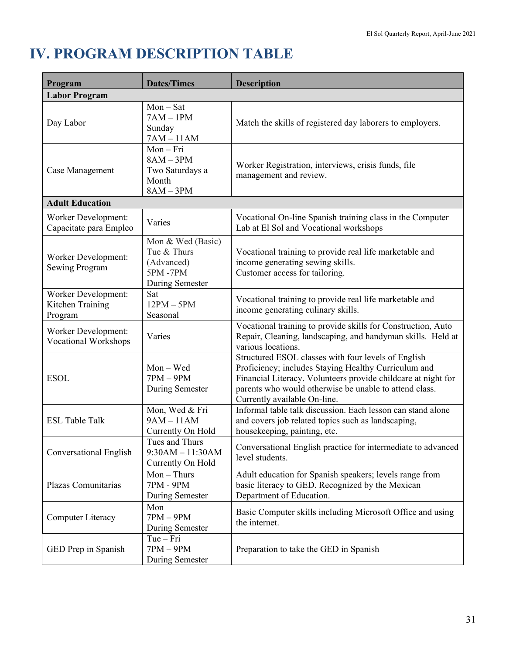# **IV. PROGRAM DESCRIPTION TABLE**

| Program                                                   | <b>Dates/Times</b>                                                                  | <b>Description</b>                                                                                                                                                                                                                                                     |
|-----------------------------------------------------------|-------------------------------------------------------------------------------------|------------------------------------------------------------------------------------------------------------------------------------------------------------------------------------------------------------------------------------------------------------------------|
| <b>Labor Program</b>                                      |                                                                                     |                                                                                                                                                                                                                                                                        |
| Day Labor                                                 | $Mon - Sat$<br>$7AM - 1PM$<br>Sunday<br>$7AM - 11AM$                                | Match the skills of registered day laborers to employers.                                                                                                                                                                                                              |
| Case Management                                           | $Mon-Fri$<br>$8AM - 3PM$<br>Two Saturdays a<br>Month<br>$8AM - 3PM$                 | Worker Registration, interviews, crisis funds, file<br>management and review.                                                                                                                                                                                          |
| <b>Adult Education</b>                                    |                                                                                     |                                                                                                                                                                                                                                                                        |
| <b>Worker Development:</b><br>Capacitate para Empleo      | Varies                                                                              | Vocational On-line Spanish training class in the Computer<br>Lab at El Sol and Vocational workshops                                                                                                                                                                    |
| <b>Worker Development:</b><br>Sewing Program              | Mon & Wed (Basic)<br>Tue & Thurs<br>(Advanced)<br><b>5PM-7PM</b><br>During Semester | Vocational training to provide real life marketable and<br>income generating sewing skills.<br>Customer access for tailoring.                                                                                                                                          |
| <b>Worker Development:</b><br>Kitchen Training<br>Program | Sat<br>$12PM - 5PM$<br>Seasonal                                                     | Vocational training to provide real life marketable and<br>income generating culinary skills.                                                                                                                                                                          |
| <b>Worker Development:</b><br><b>Vocational Workshops</b> | Varies                                                                              | Vocational training to provide skills for Construction, Auto<br>Repair, Cleaning, landscaping, and handyman skills. Held at<br>various locations.                                                                                                                      |
| <b>ESOL</b>                                               | $Mon - Wed$<br>$7PM - 9PM$<br>During Semester                                       | Structured ESOL classes with four levels of English<br>Proficiency; includes Staying Healthy Curriculum and<br>Financial Literacy. Volunteers provide childcare at night for<br>parents who would otherwise be unable to attend class.<br>Currently available On-line. |
| <b>ESL Table Talk</b>                                     | Mon, Wed & Fri<br>$9AM - 11AM$<br>Currently On Hold                                 | Informal table talk discussion. Each lesson can stand alone<br>and covers job related topics such as landscaping,<br>housekeeping, painting, etc.                                                                                                                      |
| <b>Conversational English</b>                             | Tues and Thurs<br>$9:30AM - 11:30AM$<br>Currently On Hold                           | Conversational English practice for intermediate to advanced<br>level students.                                                                                                                                                                                        |
| Plazas Comunitarias                                       | $Mon$ – Thurs<br>7PM - 9PM<br>During Semester                                       | Adult education for Spanish speakers; levels range from<br>basic literacy to GED. Recognized by the Mexican<br>Department of Education.                                                                                                                                |
| Computer Literacy                                         | Mon<br>$7PM - 9PM$<br>During Semester                                               | Basic Computer skills including Microsoft Office and using<br>the internet.                                                                                                                                                                                            |
| GED Prep in Spanish                                       | $Tue-Fri$<br>$7PM - 9PM$<br>During Semester                                         | Preparation to take the GED in Spanish                                                                                                                                                                                                                                 |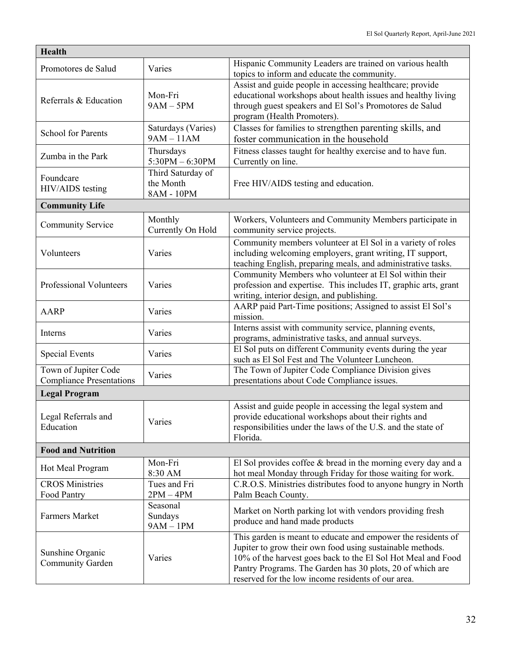| <b>Health</b>                                           |                                              |                                                                                                                                                                                                                                                                                                              |  |  |
|---------------------------------------------------------|----------------------------------------------|--------------------------------------------------------------------------------------------------------------------------------------------------------------------------------------------------------------------------------------------------------------------------------------------------------------|--|--|
| Promotores de Salud                                     | Varies                                       | Hispanic Community Leaders are trained on various health<br>topics to inform and educate the community.                                                                                                                                                                                                      |  |  |
| Referrals & Education                                   | Mon-Fri<br>$9AM - 5PM$                       | Assist and guide people in accessing healthcare; provide<br>educational workshops about health issues and healthy living<br>through guest speakers and El Sol's Promotores de Salud<br>program (Health Promoters).                                                                                           |  |  |
| <b>School for Parents</b>                               | Saturdays (Varies)<br>$9AM - 11AM$           | Classes for families to strengthen parenting skills, and<br>foster communication in the household                                                                                                                                                                                                            |  |  |
| Zumba in the Park                                       | Thursdays<br>$5:30PM - 6:30PM$               | Fitness classes taught for healthy exercise and to have fun.<br>Currently on line.                                                                                                                                                                                                                           |  |  |
| Foundcare<br>HIV/AIDS testing                           | Third Saturday of<br>the Month<br>8AM - 10PM | Free HIV/AIDS testing and education.                                                                                                                                                                                                                                                                         |  |  |
| <b>Community Life</b>                                   |                                              |                                                                                                                                                                                                                                                                                                              |  |  |
| <b>Community Service</b>                                | Monthly<br>Currently On Hold                 | Workers, Volunteers and Community Members participate in<br>community service projects.                                                                                                                                                                                                                      |  |  |
| Volunteers                                              | Varies                                       | Community members volunteer at El Sol in a variety of roles<br>including welcoming employers, grant writing, IT support,<br>teaching English, preparing meals, and administrative tasks.                                                                                                                     |  |  |
| Professional Volunteers                                 | Varies                                       | Community Members who volunteer at El Sol within their<br>profession and expertise. This includes IT, graphic arts, grant<br>writing, interior design, and publishing.                                                                                                                                       |  |  |
| <b>AARP</b>                                             | Varies                                       | AARP paid Part-Time positions; Assigned to assist El Sol's<br>mission.                                                                                                                                                                                                                                       |  |  |
| Interns                                                 | Varies                                       | Interns assist with community service, planning events,<br>programs, administrative tasks, and annual surveys.                                                                                                                                                                                               |  |  |
| <b>Special Events</b>                                   | Varies                                       | El Sol puts on different Community events during the year<br>such as El Sol Fest and The Volunteer Luncheon.                                                                                                                                                                                                 |  |  |
| Town of Jupiter Code<br><b>Compliance Presentations</b> | Varies                                       | The Town of Jupiter Code Compliance Division gives<br>presentations about Code Compliance issues.                                                                                                                                                                                                            |  |  |
| <b>Legal Program</b>                                    |                                              |                                                                                                                                                                                                                                                                                                              |  |  |
| Legal Referrals and<br>Education                        | Varies                                       | Assist and guide people in accessing the legal system and<br>provide educational workshops about their rights and<br>responsibilities under the laws of the U.S. and the state of<br>Florida.                                                                                                                |  |  |
| <b>Food and Nutrition</b>                               |                                              |                                                                                                                                                                                                                                                                                                              |  |  |
| Hot Meal Program                                        | Mon-Fri<br>8:30 AM                           | El Sol provides coffee $\&$ bread in the morning every day and a<br>hot meal Monday through Friday for those waiting for work.                                                                                                                                                                               |  |  |
| <b>CROS Ministries</b><br>Food Pantry                   | Tues and Fri<br>$2PM - 4PM$                  | C.R.O.S. Ministries distributes food to anyone hungry in North<br>Palm Beach County.                                                                                                                                                                                                                         |  |  |
| Farmers Market                                          | Seasonal<br>Sundays<br>$9AM - 1PM$           | Market on North parking lot with vendors providing fresh<br>produce and hand made products                                                                                                                                                                                                                   |  |  |
| Sunshine Organic<br><b>Community Garden</b>             | Varies                                       | This garden is meant to educate and empower the residents of<br>Jupiter to grow their own food using sustainable methods.<br>10% of the harvest goes back to the El Sol Hot Meal and Food<br>Pantry Programs. The Garden has 30 plots, 20 of which are<br>reserved for the low income residents of our area. |  |  |